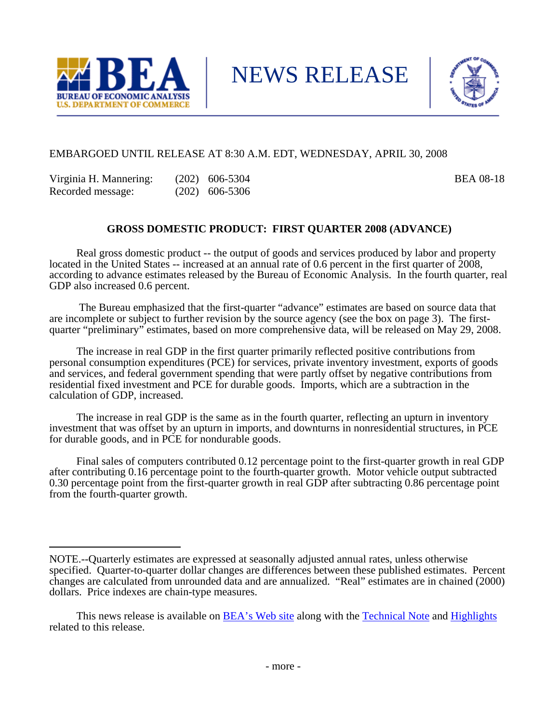

NEWS RELEASE



## EMBARGOED UNTIL RELEASE AT 8:30 A.M. EDT, WEDNESDAY, APRIL 30, 2008

| Virginia H. Mannering: | $(202)$ 606-5304 | <b>BEA 08-18</b> |
|------------------------|------------------|------------------|
| Recorded message:      | $(202)$ 606-5306 |                  |

# **GROSS DOMESTIC PRODUCT: FIRST QUARTER 2008 (ADVANCE)**

 Real gross domestic product -- the output of goods and services produced by labor and property located in the United States -- increased at an annual rate of 0.6 percent in the first quarter of 2008, according to advance estimates released by the Bureau of Economic Analysis. In the fourth quarter, real GDP also increased 0.6 percent.

 The Bureau emphasized that the first-quarter "advance" estimates are based on source data that are incomplete or subject to further revision by the source agency (see the box on page 3). The firstquarter "preliminary" estimates, based on more comprehensive data, will be released on May 29, 2008.

 The increase in real GDP in the first quarter primarily reflected positive contributions from personal consumption expenditures (PCE) for services, private inventory investment, exports of goods and services, and federal government spending that were partly offset by negative contributions from residential fixed investment and PCE for durable goods. Imports, which are a subtraction in the calculation of GDP, increased.

 The increase in real GDP is the same as in the fourth quarter, reflecting an upturn in inventory investment that was offset by an upturn in imports, and downturns in nonresidential structures, in PCE for durable goods, and in PCE for nondurable goods.

 Final sales of computers contributed 0.12 percentage point to the first-quarter growth in real GDP after contributing 0.16 percentage point to the fourth-quarter growth. Motor vehicle output subtracted 0.30 percentage point from the first-quarter growth in real GDP after subtracting 0.86 percentage point from the fourth-quarter growth.

NOTE.--Quarterly estimates are expressed at seasonally adjusted annual rates, unless otherwise specified. Quarter-to-quarter dollar changes are differences between these published estimates. Percent changes are calculated from unrounded data and are annualized. "Real" estimates are in chained (2000) dollars. Price indexes are chain-type measures.

This news release is available on [BEA's Web site](http://www.bea.gov/) along with the [Technical Note](http://www.bea.gov/newsreleases/national/gdp/2008/pdf/tech108a.pdf) and [Highlights](http://www.bea.gov/newsreleases/national/gdp/2008/pdf/gdp108a_fax.pdf) related to this release.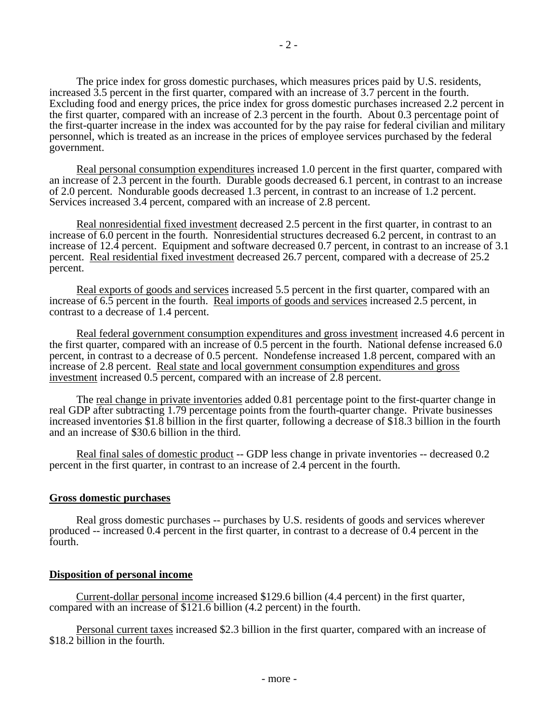The price index for gross domestic purchases, which measures prices paid by U.S. residents, increased 3.5 percent in the first quarter, compared with an increase of 3.7 percent in the fourth. Excluding food and energy prices, the price index for gross domestic purchases increased 2.2 percent in the first quarter, compared with an increase of 2.3 percent in the fourth. About 0.3 percentage point of the first-quarter increase in the index was accounted for by the pay raise for federal civilian and military personnel, which is treated as an increase in the prices of employee services purchased by the federal government.

Real personal consumption expenditures increased 1.0 percent in the first quarter, compared with an increase of 2.3 percent in the fourth. Durable goods decreased 6.1 percent, in contrast to an increase of 2.0 percent. Nondurable goods decreased 1.3 percent, in contrast to an increase of 1.2 percent. Services increased 3.4 percent, compared with an increase of 2.8 percent.

Real nonresidential fixed investment decreased 2.5 percent in the first quarter, in contrast to an increase of 6.0 percent in the fourth. Nonresidential structures decreased 6.2 percent, in contrast to an increase of 12.4 percent. Equipment and software decreased 0.7 percent, in contrast to an increase of 3.1 percent. Real residential fixed investment decreased 26.7 percent, compared with a decrease of 25.2 percent.

Real exports of goods and services increased 5.5 percent in the first quarter, compared with an increase of 6.5 percent in the fourth. Real imports of goods and services increased 2.5 percent, in contrast to a decrease of 1.4 percent.

Real federal government consumption expenditures and gross investment increased 4.6 percent in the first quarter, compared with an increase of 0.5 percent in the fourth. National defense increased 6.0 percent, in contrast to a decrease of 0.5 percent. Nondefense increased 1.8 percent, compared with an increase of 2.8 percent. Real state and local government consumption expenditures and gross investment increased 0.5 percent, compared with an increase of 2.8 percent.

 The real change in private inventories added 0.81 percentage point to the first-quarter change in real GDP after subtracting 1.79 percentage points from the fourth-quarter change. Private businesses increased inventories \$1.8 billion in the first quarter, following a decrease of \$18.3 billion in the fourth and an increase of \$30.6 billion in the third.

Real final sales of domestic product -- GDP less change in private inventories -- decreased 0.2 percent in the first quarter, in contrast to an increase of 2.4 percent in the fourth.

## **Gross domestic purchases**

 Real gross domestic purchases -- purchases by U.S. residents of goods and services wherever produced -- increased 0.4 percent in the first quarter, in contrast to a decrease of 0.4 percent in the fourth.

## **Disposition of personal income**

Current-dollar personal income increased \$129.6 billion (4.4 percent) in the first quarter, compared with an increase of \$121.6 billion (4.2 percent) in the fourth.

Personal current taxes increased \$2.3 billion in the first quarter, compared with an increase of \$18.2 billion in the fourth.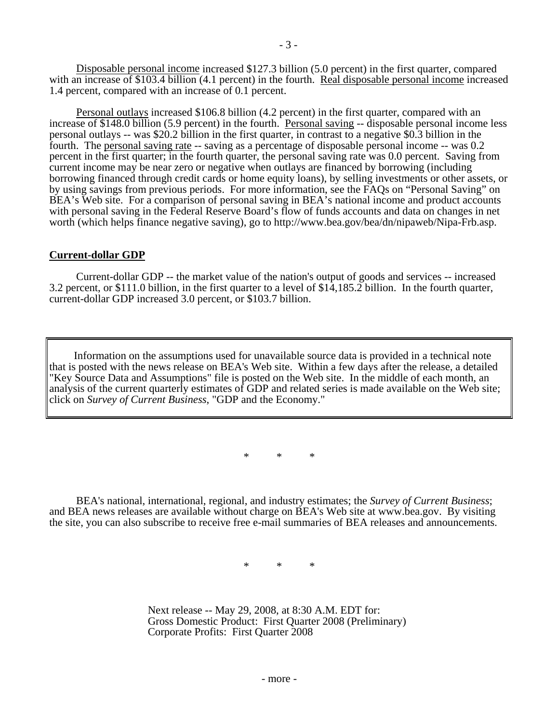Disposable personal income increased \$127.3 billion (5.0 percent) in the first quarter, compared with an increase of \$103.4 billion (4.1 percent) in the fourth. Real disposable personal income increased 1.4 percent, compared with an increase of 0.1 percent.

 Personal outlays increased \$106.8 billion (4.2 percent) in the first quarter, compared with an increase of \$148.0 billion (5.9 percent) in the fourth. Personal saving -- disposable personal income less personal outlays -- was \$20.2 billion in the first quarter, in contrast to a negative \$0.3 billion in the fourth. The personal saving rate -- saving as a percentage of disposable personal income -- was 0.2 percent in the first quarter; in the fourth quarter, the personal saving rate was 0.0 percent. Saving from current income may be near zero or negative when outlays are financed by borrowing (including borrowing financed through credit cards or home equity loans), by selling investments or other assets, or by using savings from previous periods. For more information, see the FAQs on "Personal Saving" on BEA's Web site. For a comparison of personal saving in BEA's national income and product accounts with personal saving in the Federal Reserve Board's flow of funds accounts and data on changes in net worth (which helps finance negative saving), go to http://www.bea.gov/bea/dn/nipaweb/Nipa-Frb.asp.

### **Current-dollar GDP**

 Current-dollar GDP -- the market value of the nation's output of goods and services -- increased 3.2 percent, or \$111.0 billion, in the first quarter to a level of \$14,185.2 billion. In the fourth quarter, current-dollar GDP increased 3.0 percent, or \$103.7 billion.

Information on the assumptions used for unavailable source data is provided in a technical note that is posted with the news release on BEA's Web site. Within a few days after the release, a detailed "Key Source Data and Assumptions" file is posted on the Web site. In the middle of each month, an analysis of the current quarterly estimates of GDP and related series is made available on the Web site; click on *Survey of Current Business*, "GDP and the Economy."

\* \* \*

 BEA's national, international, regional, and industry estimates; the *Survey of Current Business*; and BEA news releases are available without charge on BEA's Web site at www.bea.gov. By visiting the site, you can also subscribe to receive free e-mail summaries of BEA releases and announcements.

\* \* \*

 Next release -- May 29, 2008, at 8:30 A.M. EDT for: Gross Domestic Product: First Quarter 2008 (Preliminary) Corporate Profits: First Quarter 2008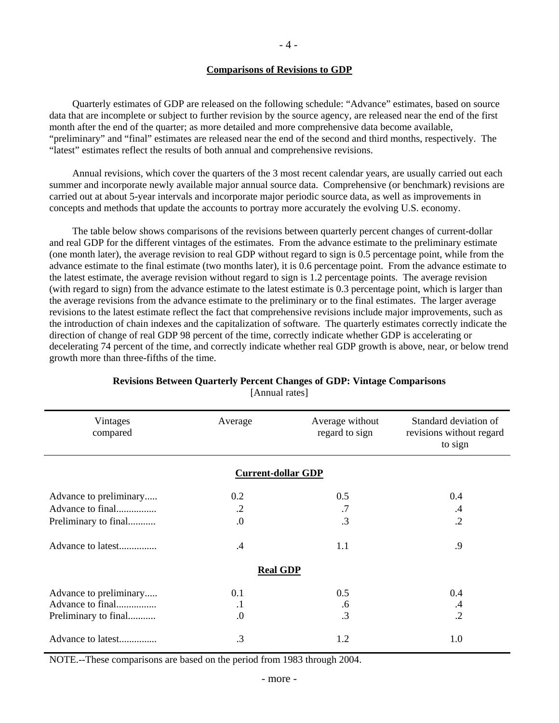#### **Comparisons of Revisions to GDP**

 Quarterly estimates of GDP are released on the following schedule: "Advance" estimates, based on source data that are incomplete or subject to further revision by the source agency, are released near the end of the first month after the end of the quarter; as more detailed and more comprehensive data become available, "preliminary" and "final" estimates are released near the end of the second and third months, respectively. The "latest" estimates reflect the results of both annual and comprehensive revisions.

 Annual revisions, which cover the quarters of the 3 most recent calendar years, are usually carried out each summer and incorporate newly available major annual source data. Comprehensive (or benchmark) revisions are carried out at about 5-year intervals and incorporate major periodic source data, as well as improvements in concepts and methods that update the accounts to portray more accurately the evolving U.S. economy.

 The table below shows comparisons of the revisions between quarterly percent changes of current-dollar and real GDP for the different vintages of the estimates. From the advance estimate to the preliminary estimate (one month later), the average revision to real GDP without regard to sign is 0.5 percentage point, while from the advance estimate to the final estimate (two months later), it is 0.6 percentage point. From the advance estimate to the latest estimate, the average revision without regard to sign is 1.2 percentage points. The average revision (with regard to sign) from the advance estimate to the latest estimate is 0.3 percentage point, which is larger than the average revisions from the advance estimate to the preliminary or to the final estimates. The larger average revisions to the latest estimate reflect the fact that comprehensive revisions include major improvements, such as the introduction of chain indexes and the capitalization of software. The quarterly estimates correctly indicate the direction of change of real GDP 98 percent of the time, correctly indicate whether GDP is accelerating or decelerating 74 percent of the time, and correctly indicate whether real GDP growth is above, near, or below trend growth more than three-fifths of the time.

| Vintages<br>compared   | Average                   | Average without<br>regard to sign | Standard deviation of<br>revisions without regard<br>to sign |
|------------------------|---------------------------|-----------------------------------|--------------------------------------------------------------|
|                        | <b>Current-dollar GDP</b> |                                   |                                                              |
| Advance to preliminary | 0.2                       | 0.5                               | 0.4                                                          |
| Advance to final       | $\cdot$ .2                | .7                                | $\cdot$ 4                                                    |
| Preliminary to final   | 0.                        | $\cdot$ 3                         | $\cdot$ .2                                                   |
| Advance to latest      | $\cdot$ 4                 | 1.1                               | .9                                                           |
|                        | <b>Real GDP</b>           |                                   |                                                              |
| Advance to preliminary | 0.1                       | 0.5                               | 0.4                                                          |
| Advance to final       | $\cdot$                   | .6                                | $\cdot$ 4                                                    |
| Preliminary to final   | $\cdot$                   | .3                                | $\cdot$ .2                                                   |
| Advance to latest      | .3                        | 1.2                               | 1.0                                                          |

### **Revisions Between Quarterly Percent Changes of GDP: Vintage Comparisons**  [Annual rates]

NOTE.--These comparisons are based on the period from 1983 through 2004.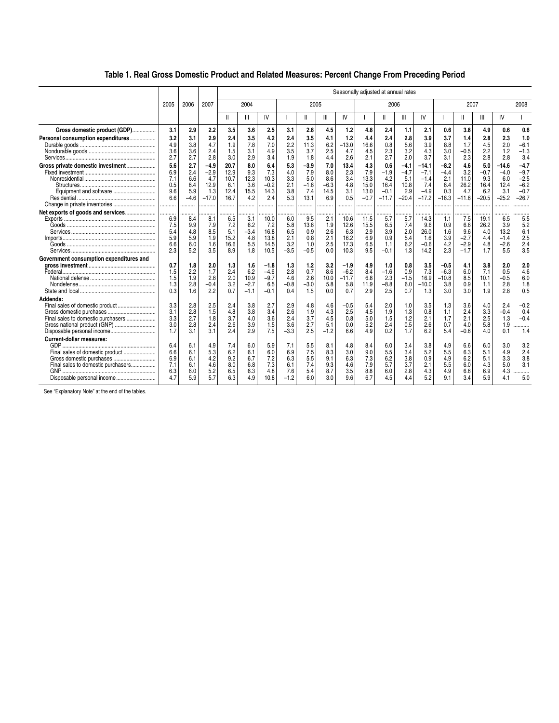## **Table 1. Real Gross Domestic Product and Related Measures: Percent Change From Preceding Period**

|                                                                                                                                                                                            |                                        |                                            | Seasonally adjusted at annual rates                    |                                                  |                                                |                                                 |                                            |                                                   |                                            |                                             |                                                   |                                                       |                                                       |                                                              |                                                      |                                                   |                                                     |                                                    |                                                               |
|--------------------------------------------------------------------------------------------------------------------------------------------------------------------------------------------|----------------------------------------|--------------------------------------------|--------------------------------------------------------|--------------------------------------------------|------------------------------------------------|-------------------------------------------------|--------------------------------------------|---------------------------------------------------|--------------------------------------------|---------------------------------------------|---------------------------------------------------|-------------------------------------------------------|-------------------------------------------------------|--------------------------------------------------------------|------------------------------------------------------|---------------------------------------------------|-----------------------------------------------------|----------------------------------------------------|---------------------------------------------------------------|
|                                                                                                                                                                                            | 2005                                   | 2006                                       | 2007                                                   |                                                  | 2004                                           |                                                 |                                            | 2005                                              |                                            |                                             |                                                   | 2006                                                  |                                                       |                                                              |                                                      | 2007                                              |                                                     |                                                    | 2008                                                          |
|                                                                                                                                                                                            |                                        |                                            |                                                        | Ш                                                | Ш                                              | IV                                              |                                            | Ш                                                 | Ш                                          | IV                                          |                                                   | $\mathsf{I}$                                          | Ш                                                     | IV                                                           |                                                      | II                                                | Ш                                                   | IV                                                 |                                                               |
| Gross domestic product (GDP)                                                                                                                                                               | 3.1                                    | 2.9                                        | 2.2                                                    | 3.5                                              | 3.6                                            | 2.5                                             | 3.1                                        | 2.8                                               | 4.5                                        | 1.2                                         | 4.8                                               | 2.4                                                   | 1.1                                                   | 2.1                                                          | 0.6                                                  | 3.8                                               | 4.9                                                 | 0.6                                                | 0.6                                                           |
| Personal consumption expenditures                                                                                                                                                          | 3.2<br>4.9<br>3.6<br>2.7               | 3.1<br>3.8<br>3.6<br>2.7                   | 2.9<br>4.7<br>2.4<br>2.8                               | 2.4<br>1.9<br>1.5<br>3.0                         | 3.5<br>7.8<br>3.1<br>2.9                       | 4.2<br>7.0<br>4.9<br>3.4                        | 2.4<br>2.2<br>3.5<br>1.9                   | 3.5<br>11.3<br>3.7<br>1.8                         | 4.1<br>6.2<br>2.5<br>4.4                   | 1.2<br>$-13.0$<br>4.7<br>2.6                | 4.4<br>16.6<br>4.5<br>2.1                         | 2.4<br>0.8<br>2.3<br>2.7                              | 2.8<br>5.6<br>3.2<br>2.0                              | 3.9<br>3.9<br>4.3<br>3.7                                     | 3.7<br>8.8<br>3.0<br>3.1                             | 1.4<br>1.7<br>$-0.5$<br>2.3                       | 2.8<br>4.5<br>2.2<br>2.8                            | 2.3<br>2.0<br>1.2<br>2.8                           | 1.0<br>$-6.1$<br>$-1.3$<br>3.4                                |
| Gross private domestic investment<br>Equipment and software<br>Change in private inventories                                                                                               | 5.6<br>6.9<br>7.1<br>0.5<br>9.6<br>6.6 | 2.7<br>2.4<br>6.6<br>8.4<br>5.9<br>$-4.6$  | $-4.9$<br>$-2.9$<br>4.7<br>12.9<br>1.3<br>$-17.0$<br>. | 20.7<br>12.9<br>10.7<br>6.1<br>12.4<br>16.7<br>. | 8.0<br>9.3<br>12.3<br>3.6<br>15.5<br>4.2<br>.  | 6.4<br>7.3<br>10.3<br>$-0.2$<br>14.3<br>2.4<br> | 5.3<br>4.0<br>3.3<br>2.1<br>3.8<br>5.3<br> | $-3.9$<br>7.9<br>5.0<br>$-1.6$<br>7.4<br>13.1<br> | 7.0<br>8.0<br>8.6<br>$-6.3$<br>14.5<br>6.9 | 13.4<br>2.3<br>3.4<br>4.8<br>3.1<br>0.5     | 4.3<br>7.9<br>13.3<br>15.0<br>13.0<br>$-0.7$<br>. | 0.6<br>$-1.9$<br>4.2<br>16.4<br>$-0.1$<br>$-11.7$<br> | $-4.1$<br>$-4.7$<br>5.1<br>10.8<br>2.9<br>$-20.4$<br> | $-14.1$<br>$-7.1$<br>$-1.4$<br>7.4<br>$-4.9$<br>$-17.2$<br>. | $-8.2$<br>$-4.4$<br>2.1<br>6.4<br>0.3<br>$-16.3$<br> | 4.6<br>3.2<br>11.0<br>26.2<br>4.7<br>$-11.8$<br>. | 5.0<br>$-0.7$<br>9.3<br>16.4<br>6.2<br>$-20.5$<br>. | $-14.6$<br>$-4.0$<br>6.0<br>12.4<br>3.1<br>$-25.2$ | $-4.7$<br>$-9.7$<br>$-2.5$<br>$-6.2$<br>$-0.7$<br>$-26.7$<br> |
| Net exports of goods and services                                                                                                                                                          | 6.9<br>7.5<br>5.4<br>5.9<br>6.6<br>2.3 | <br>8.4<br>9.9<br>4.8<br>5.9<br>6.0<br>5.2 | .<br>8.1<br>7.9<br>8.5<br>1.9<br>1.6<br>3.5            | .<br>6.5<br>7.2<br>5.1<br>15.2<br>16.6<br>8.9    | .<br>3.1<br>6.2<br>$-3.4$<br>4.8<br>5.5<br>1.8 | 10.0<br>7.2<br>16.8<br>13.8<br>14.5<br>10.5     | 6.0<br>5.8<br>6.5<br>2.1<br>3.2<br>$-3.5$  | <br>9.5<br>13.6<br>0.9<br>0.8<br>1.0<br>$-0.5$    | 2.1<br>1.9<br>2.6<br>2.1<br>2.5<br>0.0     | 10.6<br>12.6<br>6.3<br>16.2<br>17.3<br>10.3 | 11.5<br>15.5<br>2.9<br>6.9<br>6.5<br>9.5          | 5.7<br>6.5<br>3.9<br>0.9<br>1.1<br>$-0.1$             | 5.7<br>7.4<br>2.0<br>5.4<br>6.2<br>1.3                | 14.3<br>9.6<br>26.0<br>1.6<br>$-0.6$<br>14.2                 | 1.1<br>0.9<br>1.6<br>3.9<br>4.2<br>2.3               | 7.5<br>6.6<br>9.6<br>$-2.7$<br>$-2.9$<br>$-1.7$   | 19.1<br>26.2<br>4.0<br>4.4<br>4.8<br>1.7            | 6.5<br>3.9<br>13.2<br>$-1.4$<br>$-2.6$<br>5.5      | 5.5<br>5.2<br>6.1<br>2.5<br>2.4<br>3.5                        |
| Government consumption expenditures and                                                                                                                                                    | 0.7<br>1.5<br>1.5<br>1.3<br>0.3        | 1.8<br>2.2<br>1.9<br>2.8<br>1.6            | 2.0<br>1.7<br>2.8<br>$-0.4$<br>2.2                     | 1.3<br>2.4<br>2.0<br>3.2<br>0.7                  | 1.6<br>6.2<br>10.9<br>$-2.7$<br>$-1.1$         | $-1.8$<br>$-4.6$<br>$-9.7$<br>6.5<br>$-0.1$     | 1.3<br>2.8<br>4.6<br>$-0.8$<br>0.4         | 1.2<br>0.7<br>2.6<br>$-3.0$<br>1.5                | 3.2<br>8.6<br>10.0<br>5.8<br>0.0           | $-1.9$<br>$-6.2$<br>$-11.7$<br>5.8<br>0.7   | 4.9<br>8.4<br>6.8<br>11.9<br>2.9                  | 1.0<br>$-1.6$<br>2.3<br>$-8.8$<br>2.5                 | 0.8<br>0.9<br>$-1.5$<br>6.0<br>0.7                    | 3.5<br>7.3<br>16.9<br>$-10.0$<br>1.3                         | $-0.5$<br>$-6.3$<br>$-10.8$<br>3.8<br>3.0            | 4.1<br>6.0<br>8.5<br>0.9<br>3.0                   | 3.8<br>7.1<br>10.1<br>1.1<br>1.9                    | 2.0<br>0.5<br>$-0.5$<br>2.8<br>2.8                 | 2.0<br>4.6<br>6.0<br>1.8<br>0.5                               |
| Addenda:<br>Final sales of domestic product<br>Final sales to domestic purchasers<br>Gross national product (GNP)<br>Disposable personal income<br><b>Current-dollar measures:</b><br>GDP. | 3.3<br>3.1<br>3.3<br>3.0<br>1.7<br>6.4 | 2.8<br>2.8<br>2.7<br>2.8<br>3.1<br>6.1     | 2.5<br>1.5<br>1.8<br>2.4<br>3.1<br>4.9                 | 2.4<br>4.8<br>3.7<br>2.6<br>2.4<br>7.4           | 3.8<br>3.8<br>4.0<br>3.9<br>2.9<br>6.0         | 2.7<br>3.4<br>3.6<br>1.5<br>7.5<br>5.9          | 2.9<br>2.6<br>2.4<br>3.6<br>$-3.3$<br>7.1  | 4.8<br>1.9<br>3.7<br>2.7<br>2.5<br>5.5            | 4.6<br>4.3<br>4.5<br>5.1<br>$-1.2$<br>8.1  | $-0.5$<br>2.5<br>0.8<br>0.0<br>6.6<br>4.8   | 5.4<br>4.5<br>5.0<br>5.2<br>4.9<br>8.4            | 2.0<br>1.9<br>1.5<br>2.4<br>0.2<br>6.0                | 1.0<br>1.3<br>1.2<br>0.5<br>1.7<br>3.4                | 3.5<br>0.8<br>2.1<br>2.6<br>6.2<br>3.8                       | 1.3<br>1.1<br>1.7<br>0.7<br>5.4<br>4.9               | 3.6<br>2.4<br>2.1<br>4.0<br>$-0.8$<br>6.6         | 4.0<br>3.3<br>2.5<br>5.8<br>4.0<br>6.0              | 2.4<br>$-0.4$<br>1.3<br>1.9<br>0.1<br>3.0          | $-0.2$<br>0.4<br>$-0.4$<br>.<br>1.4<br>3.2                    |
| Gross domestic purchases<br>Final sales to domestic purchasers<br>Disposable personal income                                                                                               | 6.6<br>6.9<br>7.1<br>6.3<br>4.7        | 6.1<br>6.1<br>6.1<br>6.0<br>5.9            | 5.3<br>4.2<br>4.6<br>5.2<br>5.7                        | 6.2<br>9.2<br>8.0<br>6.5<br>6.3                  | 6.1<br>6.7<br>6.8<br>6.3<br>4.9                | 6.0<br>7.2<br>7.3<br>4.8<br>10.8                | 6.9<br>6.3<br>6.1<br>7.6<br>$-1.2$         | 7.5<br>5.5<br>7.4<br>5.4<br>6.0                   | 8.3<br>9.1<br>9.3<br>8.7<br>3.0            | 3.0<br>6.3<br>4.6<br>3.5<br>9.6             | 9.0<br>7.3<br>7.9<br>8.8<br>6.7                   | 5.5<br>6.2<br>5.7<br>6.0<br>4.5                       | 3.4<br>3.8<br>3.7<br>2.8<br>4.4                       | 5.2<br>0.9<br>2.1<br>4.3<br>5.2                              | 5.5<br>4.9<br>5.5<br>4.9<br>9.1                      | 6.3<br>6.2<br>6.0<br>6.8<br>3.4                   | 5.1<br>5.1<br>4.3<br>6.9<br>5.9                     | 4.9<br>3.3<br>5.0<br>4.3<br>4.1                    | 2.4<br>3.8<br>3.1<br>.<br>5.0                                 |

See "Explanatory Note" at the end of the tables.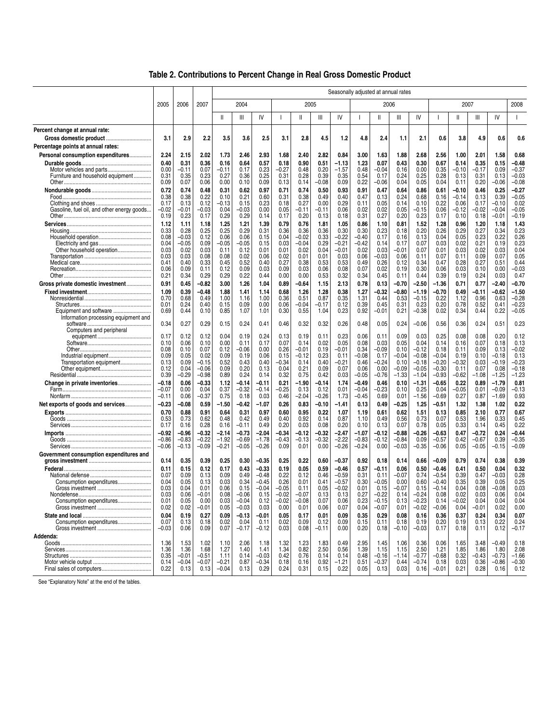|                                                                |                    |                 | Seasonally adjusted at annual rates |               |                    |                    |                    |                 |                 |                    |                    |                 |                 |                    |                    |                    |               |                    |                    |
|----------------------------------------------------------------|--------------------|-----------------|-------------------------------------|---------------|--------------------|--------------------|--------------------|-----------------|-----------------|--------------------|--------------------|-----------------|-----------------|--------------------|--------------------|--------------------|---------------|--------------------|--------------------|
|                                                                | 2005               | 2006            | 2007                                |               | 2004               |                    |                    | 2005            |                 |                    |                    | 2006            |                 |                    |                    | 2007               |               |                    | 2008               |
|                                                                |                    |                 |                                     | Ш             | Ш                  | IV                 |                    | $\mathsf{I}$    | Ш               | IV                 | H                  | Ш               | Ш               | IV                 |                    | Ш                  | Ш             | IV                 | $\mathbf{I}$       |
| Percent change at annual rate:                                 |                    |                 |                                     |               |                    |                    |                    |                 |                 |                    |                    |                 |                 |                    |                    |                    |               |                    |                    |
| Gross domestic product                                         | 3.1                | 2.9             | 2.2                                 | 3.5           | 3.6                | 2.5                | 3.1                | 2.8             | 4.5             | 1.2                | 4.8                | 2.4             | 1.1             | 2.1                | 0.6                | 3.8                | 4.9           | 0.6                | 0.6                |
| Percentage points at annual rates:                             |                    |                 |                                     |               |                    |                    |                    |                 |                 |                    |                    |                 |                 |                    |                    |                    |               |                    |                    |
| Personal consumption expenditures                              | 2.24<br>0.40       | 2.15<br>0.31    | 2.02<br>0.36                        | 1.73<br>0.16  | 2.46<br>0.64       | 2.93<br>0.57       | 1.68<br>0.18       | 2.40<br>0.90    | 2.82<br>0.51    | 0.84<br>-1.13      | 3.00<br>1.23       | 1.63<br>0.07    | 1.88<br>0.43    | 2.68<br>0.30       | 2.56<br>0.67       | 1.00<br>0.14       | 2.01<br>0.35  | 1.58<br>0.15       | 0.68<br>-0.48      |
|                                                                | 0.00               | -0.11           | 0.07                                | -0.11         | 0.17               | 0.23               | $-0.27$            | 0.48            | 0.20            | $-1.57$            | 0.48               | -0.04           | 0.16            | 0.00               | 0.35               | -0.10              | -0.17         | 0.09               | $-0.37$            |
| Furniture and household equipment                              | 0.31               | 0.35            | 0.23                                | 0.27          | 0.36               | 0.25               | 0.31               | 0.28            | 0.39            | 0.35               | 0.54               | 0.17            | 0.24            | 0.25               | 0.28               | 0.13               | 0.31          | 0.13               | $-0.03$            |
|                                                                | 0.09               | 0.07            | 0.06                                | 0.00          | 0.10               | 0.09               | 0.13               | 0.14            | $-0.08$         | 0.09               | 0.22               | -0.06           | 0.04            | 0.05               | 0.04               | 0.11               | 0.20          | -0.06              | $-0.08$            |
|                                                                | 0.72<br>0.38       | 0.74<br>0.38    | 0.48<br>0.22                        | 0.31<br>0.10  | 0.62<br>0.21       | 0.97<br>0.60       | 0.71<br>0.31       | 0.74<br>0.38    | 0.50<br>0.49    | 0.93<br>0.40       | 0.91<br>0.47       | 0.47<br>0.13    | 0.64<br>0.24    | 0.86<br>0.68       | 0.61<br>0.16       | $-0.10$<br>$-0.14$ | 0.46<br>0.13  | 0.25<br>0.39       | $-0.27$<br>$-0.05$ |
|                                                                | 0.17               | 0.13            | 0.12                                | $-0.13$       | 0.15               | 0.23               | 0.18               | 0.27            | 0.00            | 0.29               | 0.11               | 0.05            | 0.14            | 0.10               | 0.22               | 0.06               | 0.17          | $-0.10$            | 0.02               |
| Gasoline, fuel oil, and other energy goods                     | $-0.02$            | -0.01           | $-0.03$                             | 0.04          | $-0.03$            | 0.00               | 0.05               | -0.11           | $-0.11$         | 0.06               | 0.02               | 0.02            | 0.05            | -0.15              | 0.06               | -0.12              | $-0.02$       | $-0.04$            | $-0.05$            |
|                                                                | 0.19               | 0.23            | 0.17                                | 0.29          | 0.29               | 0.14               | 0.17               | 0.20            | 0.13            | 0.18               | 0.31               | 0.27            | 0.20            | 0.23               | 0.17               | 0.10               | 0.18          | -0.01              | $-0.19$            |
|                                                                | 1.12<br>0.33       | 1.11<br>0.28    | 1.18<br>0.25                        | 1.25<br>0.25  | 1.21<br>0.29       | 1.39<br>0.31       | 0.79<br>0.36       | 0.76<br>0.36    | 1.81<br>0.36    | 1.05<br>0.30       | 0.86<br>0.30       | 1.10<br>0.23    | 0.81<br>0.18    | 1.52<br>0.20       | 1.28<br>0.26       | 0.96<br>0.29       | 1.20<br>0.27  | 1.18<br>0.34       | 1.43<br>0.23       |
|                                                                | 0.08               | -0.03           | 0.12                                | 0.06          | 0.06               | 0.15               | 0.04               | $-0.02$         | 0.33            | $-0.22$            | $-0.40$            | 0.17            | 0.16            | 0.13               | 0.04               | 0.05               | 0.23          | 0.22               | 0.26               |
|                                                                | 0.04<br>0.03       | -0.05<br>0.02   | 0.09<br>0.03                        | -0.05<br>0.11 | $-0.05$<br>0.12    | 0.15<br>0.01       | 0.03<br>0.01       | $-0.04$<br>0.02 | 0.29<br>0.04    | $-0.21$<br>$-0.01$ | $-0.42$<br>0.02    | 0.14<br>0.03    | 0.17<br>-0.01   | 0.07<br>0.07       | 0.03<br>0.01       | 0.02<br>0.03       | 0.21<br>0.02  | 0.19<br>0.03       | 0.23<br>0.04       |
| Other household operation                                      | 0.03               | 0.03            | 0.08                                | 0.08          | 0.02               | 0.06               | 0.02               | 0.01            | 0.01            | 0.03               | 0.06               | -0.03           | 0.06            | 0.11               | 0.07               | 0.11               | 0.09          | 0.07               | 0.05               |
|                                                                | 0.41               | 0.40            | 0.33                                | 0.45          | 0.52               | 0.40               | 0.27               | 0.38            | 0.53            | 0.53               | 0.49               | 0.26            | 0.12            | 0.34               | 0.47               | 0.28               | 0.27          | 0.51               | 0.44               |
|                                                                | 0.06<br>0.21       | 0.09<br>0.34    | 0.11<br>0.29                        | 0.12<br>0.29  | 0.09<br>0.22       | 0.03<br>0.44       | 0.09<br>0.00       | 0.03<br>0.00    | 0.06<br>0.53    | 0.08<br>0.32       | 0.07<br>0.34       | 0.02<br>0.45    | 0.19<br>0.11    | 0.30<br>0.44       | 0.06<br>0.39       | 0.03<br>0.19       | 0.10<br>0.24  | 0.00<br>0.03       | $-0.03$<br>0.47    |
| Gross private domestic investment                              | 0.91               | 0.45            | $-0.82$                             | 3.00          | 1.26               | 1.04               | 0.89               | $-0.64$         | 1.15            | 2.13               | 0.78               | 0.13            | -0.70           | $-2.50$            | $-1.36$            | 0.71               | 0.77          | -2.40              | $-0.70$            |
|                                                                | 1.09               | 0.39            | -0.48                               | 1.88          | 1.41               | 1.14               | 0.68               | 1.26            | 1.28            | 0.38               | 1.27               | -0.32           | $-0.80$         | $-1.19$            | $-0.70$            | 0.49               | -0.11         | -0.62              | $-1.50$            |
|                                                                | 0.70               | 0.68            | 0.49                                | 1.00          | 1.16               | 1.00               | 0.36               | 0.51            | 0.87            | 0.35               | 1.31               | 0.44            | 0.53            | $-0.15$            | 0.22               | 1.12               | 0.96          | 0.63               | $-0.28$            |
|                                                                | 0.01               | 0.24<br>0.44    | 0.40                                | 0.15          | 0.09               | 0.00               | 0.06<br>0.30       | $-0.04$         | -0.17           | 0.12<br>0.23       | 0.39<br>0.92       | 0.45            | 0.31            | 0.23               | 0.20               | 0.78               | 0.52<br>0.44  | 0.41<br>0.22       | $-0.23$<br>$-0.05$ |
| Equipment and software<br>Information processing equipment and | 0.69               |                 | 0.10                                | 0.85          | 1.07               | 1.01               |                    | 0.55            | 1.04            |                    |                    | -0.01           | 0.21            | $-0.38$            | 0.02               | 0.34               |               |                    |                    |
|                                                                | 0.34               | 0.27            | 0.29                                | 0.15          | 0.24               | 0.41               | 0.46               | 0.32            | 0.32            | 0.26               | 0.48               | 0.05            | 0.24            | $-0.06$            | 0.56               | 0.36               | 0.24          | 0.51               | 0.23               |
| Computers and peripheral                                       | 0.17               | 0.12            | 0.12                                | 0.04          | 0.19               | 0.24               | 0.13               | 0.19            | 0.11            | 0.23               | 0.06               | 0.11            | 0.09            | 0.03               | 0.25               | 0.08               | 0.08          | 0.20               | 0.12               |
|                                                                | 0.10               | 0.06            | 0.10                                | 0.00          | 0.11               | 0.17               | 0.07               | 0.14            | 0.02            | 0.05               | 0.08               | 0.03            | 0.05            | 0.04               | 0.14               | 0.16               | 0.07          | 0.18               | 0.13               |
|                                                                | 0.08               | 0.10            | 0.07                                | 0.12          | $-0.06$            | 0.00               | 0.26               | $-0.01$         | 0.19            | $-0.01$            | 0.34               | $-0.09$         | 0.10            | $-0.12$            | 0.18               | 0.11               | 0.09          | 0.13               | $-0.02$            |
| Transportation equipment                                       | 0.09<br>0.13       | 0.05<br>0.09    | 0.02<br>-0.15                       | 0.09<br>0.52  | 0.19<br>0.43       | 0.06<br>0.40       | 0.15<br>$-0.34$    | $-0.12$<br>0.14 | 0.23<br>0.40    | 0.11<br>$-0.21$    | $-0.08$<br>0.46    | 0.17<br>$-0.24$ | -0.04<br>0.10   | $-0.08$<br>$-0.18$ | $-0.04$<br>$-0.20$ | 0.19<br>$-0.32$    | 0.10<br>0.03  | -0.18<br>$-0.19$   | 0.13<br>$-0.23$    |
|                                                                | 0.12               | 0.04            | $-0.06$                             | 0.09          | 0.20               | 0.13               | 0.04               | 0.21            | 0.09            | 0.07               | 0.06               | 0.00            | $-0.09$         | $-0.05$            | $-0.30$            | 0.11               | 0.07          | 0.08               | $-0.18$            |
|                                                                | 0.39               | -0.29           | $-0.98$                             | 0.89          | 0.24               | 0.14               | 0.32               | 0.75            | 0.42            | 0.03               | $-0.05$            | $-0.76$         | $-1.33$         | $-1.04$            | $-0.93$            | $-0.62$            | $-1.08$       | $-1.25$            | $-1.23$            |
| Change in private inventories                                  | $-0.18$<br>$-0.07$ | 0.06<br>0.00    | $-0.33$<br>0.04                     | 1.12<br>0.37  | $-0.14$<br>$-0.32$ | $-0.11$<br>$-0.14$ | 0.21<br>$-0.25$    | $-1.90$<br>0.13 | $-0.14$<br>0.12 | 1.74<br>0.01       | $-0.49$<br>$-0.04$ | 0.46<br>$-0.23$ | 0.10<br>0.10    | $-1.31$<br>0.25    | $-0.65$<br>0.04    | 0.22<br>$-0.05$    | 0.89<br>0.01  | $-1.79$<br>$-0.09$ | 0.81<br>$-0.13$    |
|                                                                | $-0.11$            | 0.06            | -0.37                               | 0.75          | 0.18               | 0.03               | 0.46               | $-2.04$         | $-0.26$         | 1.73               | -0.45              | 0.69            | 0.01            | $-1.56$            | $-0.69$            | 0.27               | 0.87          | $-1.69$            | 0.93               |
| Net exports of goods and services                              | $-0.23$            | -0.08           | 0.59                                | -1.50         | $-0.42$            | $-1.07$            | 0.26               | 0.83            | $-0.10$         | -1.41              | 0.13               | 0.49            | -0.25           | 1.25               | $-0.51$            | 1.32               | 1.38          | 1.02               | 0.22               |
|                                                                | 0.70               | 0.88            | 0.91                                | 0.64          | 0.31               | 0.97               | 0.60               | 0.95            | 0.22            | 1.07               | 1.19               | 0.61            | 0.62            | 1.51               | 0.13               | 0.85               | 2.10          | 0.77               | 0.67               |
|                                                                | 0.53<br>0.17       | 0.73<br>0.16    | 0.62<br>0.28                        | 0.48<br>0.16  | 0.42<br>$-0.11$    | 0.49<br>0.49       | 0.40<br>0.20       | 0.92<br>0.03    | 0.14<br>0.08    | 0.87<br>0.20       | 1.10<br>0.10       | 0.49<br>0.13    | 0.56<br>0.07    | 0.73<br>0.78       | 0.07<br>0.05       | 0.53<br>0.33       | 1.96<br>0.14  | 0.33<br>0.45       | 0.45<br>0.22       |
|                                                                | $-0.92$            | $-0.96$         | $-0.32$                             | $-2.14$       | $-0.73$            | $-2.04$            | $-0.34$            | $-0.12$         | $-0.32$         | $-2.47$            | $-1.07$            | $-0.12$         | $-0.88$         | $-0.26$            | $-0.63$            | 0.47               | -0.72         | 0.24               | $-0.44$            |
|                                                                | $-0.86$            | $-0.83$         | $-0.22$                             | $-1.92$       | $-0.69$            | $-1.78$            | $-0.43$            | $-0.13$         | $-0.32$         | $-2.22$            | $-0.83$            | -0.12           | $-0.84$         | 0.09               | $-0.57$            | 0.42               | $-0.67$       | 0.39               | $-0.35$            |
|                                                                | $-0.06$            | $-0.13$         | $-0.09$                             | $-0.21$       | $-0.05$            | $-0.26$            | 0.09               | 0.01            | 0.00            | $-0.26$            | $-0.24$            | 0.00            | $-0.03$         | $-0.35$            | $-0.06$            | 0.05               | $-0.05$       | -0.15              | $-0.09$            |
| Government consumption expenditures and                        | 0.14               | 0.35            | 0.39                                | 0.25          | 0.30               | $-0.35$            | 0.25               | 0.22            | 0.60            | $-0.37$            | 0.92               | 0.18            | 0.14            | 0.66               | -0.09              | 0.79               | 0.74          | 0.38               | 0.39               |
|                                                                | 0.11               | 0.15            | 0.12                                | 0.17          | 0.43               | $-0.33$            | 0.19               | 0.05            | 0.59            | $-0.46$            | 0.57               | $-0.11$         | 0.06            | 0.50               | $-0.46$            | 0.41               | 0.50          | 0.04               | 0.32               |
|                                                                | 0.07               | 0.09            | 0.13                                | 0.09          | 0.49               | $-0.48$            | 0.22               | 0.12            | 0.46            | $-0.59$            | 0.31               | 0.11            | -0.07           | 0.74               | $-0.54$            | 0.39               | 0.47          | -0.03              | 0.28               |
| Consumption expenditures                                       | 0.04               | 0.05            | 0.13                                | 0.03          | 0.34               | $-0.45$            | 0.26               | 0.01            | 0.41            | $-0.57$            | 0.30               | $-0.05$         | 0.00            | 0.60               | $-0.40$            | 0.35               | 0.39          | 0.05               | 0.25               |
| Nondefense.                                                    | 0.03<br>0.03       | 0.04<br>0.06    | 0.01<br>-0.01                       | 0.06<br>0.08  | 0.15<br>$-0.06$    | $-0.04$<br>0.15    | $-0.05$<br>$-0.02$ | 0.11<br>$-0.07$ | 0.05<br>0.13    | $-0.02$<br>0.13    | 0.01<br>0.27       | 0.15<br>$-0.22$ | $-0.07$<br>0.14 | 0.15<br>$-0.24$    | $-0.14$<br>0.08    | 0.04<br>0.02       | 0.08<br>0.03  | $-0.08$<br>0.06    | 0.03<br>0.04       |
| Consumption expenditures                                       | 0.01               | 0.05            | 0.00                                | 0.03          | $-0.04$            | 0.12               | $-0.02$            | $-0.08$         | 0.07            | 0.06               | 0.23               | $-0.15$         | 0.13            | $-0.23$            | 0.14               | $-0.02$            | 0.04          | 0.04               | 0.04               |
|                                                                | 0.02               | 0.02            | $-0.01$                             | 0.05          | $-0.03$            | 0.03               | 0.00               | 0.01            | 0.06            | 0.07               | 0.04               | $-0.07$         | 0.01            | $-0.02$            | $-0.06$            | 0.04               | -0.01         | 0.02               | 0.00               |
| Consumption expenditures                                       | 0.04<br>0.07       | 0.19<br>0.13    | 0.27<br>0.18                        | 0.09<br>0.02  | $-0.13$<br>0.04    | $-0.01$<br>0.11    | 0.05<br>0.02       | 0.17<br>0.09    | 0.01<br>0.12    | 0.09<br>0.09       | 0.35<br>0.15       | 0.29<br>0.11    | 0.08<br>0.18    | 0.16<br>0.19       | 0.36<br>0.20       | 0.37<br>0.19       | 0.24<br>0.13  | 0.34<br>0.22       | 0.07<br>0.24       |
|                                                                | $-0.03$            | 0.06            | 0.09                                | 0.07          | $-0.17$            | $-0.12$            | 0.03               | 0.08            | $-0.11$         | 0.00               | 0.20               | 0.18            | $-0.10$         | $-0.03$            | 0.17               | 0.18               | 0.11          | 0.12               | $-0.17$            |
| Addenda:                                                       |                    |                 |                                     |               |                    |                    |                    |                 |                 |                    |                    |                 |                 |                    |                    |                    |               |                    |                    |
|                                                                | 1.36               | 1.53            | 1.02                                | 1.10          | 2.06               | 1.18               | 1.32               | 1.23            | 1.83            | 0.49               | 2.95               | 1.45            | 1.06            | 0.36               | 0.06               | 1.65               | 3.48          | $-0.49$            | 0.18               |
|                                                                | 1.36<br>0.35       | 1.36<br>$-0.01$ | 1.68<br>$-0.51$                     | 1.27<br>1.11  | 1.40<br>0.14       | 1.41<br>$-0.03$    | 1.34<br>0.42       | 0.82<br>0.76    | 2.50<br>0.14    | 0.56<br>0.14       | 1.39<br>0.48       | 1.15<br>$-0.16$ | 1.15<br>$-1.14$ | 2.50<br>$-0.77$    | 1.21<br>$-0.68$    | 1.85<br>0.32       | 1.86<br>-0.43 | 1.80<br>$-0.73$    | 2.08<br>$-1.66$    |
|                                                                | 0.14               | $-0.04$         | $-0.07$                             | $-0.21$       | 0.87               | $-0.34$            | 0.18               | 0.16            | 0.92            | -1.21              | 0.51               | $-0.37$         | 0.44            | $-0.74$            | 0.18               | 0.03               | 0.36          | $-0.86$            | $-0.30$            |
|                                                                | 0.22               | 0.13            | 0.13                                | $-0.04$       | 0.13               | 0.29               | 0.24               | 0.31            | 0.15            | 0.22               | 0.05               | 0.13            | 0.03            | 0.16               | $-0.01$            | 0.21               | 0.28          | 0.16               | 0.12               |

See "Explanatory Note" at the end of the tables.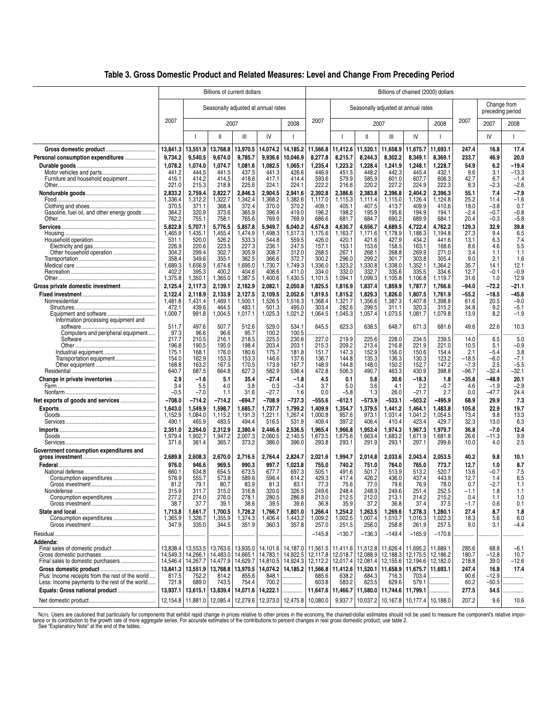|  | Table 3. Gross Domestic Product and Related Measures: Level and Change From Preceding Period |  |  |
|--|----------------------------------------------------------------------------------------------|--|--|
|  |                                                                                              |  |  |

|                                                  |                    |                    |                                          |                                     |                                |                                          | Billions of chained (2000) dollars |                    |                                          |                                                      |                    |                      |               |                                 |                  |  |  |
|--------------------------------------------------|--------------------|--------------------|------------------------------------------|-------------------------------------|--------------------------------|------------------------------------------|------------------------------------|--------------------|------------------------------------------|------------------------------------------------------|--------------------|----------------------|---------------|---------------------------------|------------------|--|--|
|                                                  |                    |                    |                                          | Billions of current dollars         |                                |                                          |                                    |                    |                                          |                                                      |                    |                      |               |                                 |                  |  |  |
|                                                  |                    |                    |                                          | Seasonally adjusted at annual rates |                                |                                          |                                    |                    |                                          | Seasonally adjusted at annual rates                  |                    |                      |               | Change from<br>preceding period |                  |  |  |
|                                                  | 2007               |                    |                                          | 2007                                |                                | 2008                                     | 2007                               |                    |                                          | 2007                                                 |                    | 2008                 | 2007          | 2007                            | 2008             |  |  |
|                                                  |                    |                    | $\mathsf{II}$                            | Ш                                   | IV                             |                                          |                                    |                    | Ш                                        | Ш                                                    | IV                 |                      |               | IV                              | т                |  |  |
|                                                  | 13,841.3           | 13,551.9           | 13,768.8                                 | 13,970.5                            | 14,074.2                       | 14,185.2                                 | 11,566.8                           | 11,412.6           | 11,520.1                                 | 11,658.9                                             | 11,675.7           | 11,693.1             | 247.4         | 16.8                            | 17.4             |  |  |
| Personal consumption expenditures                | 9,734.2            | 9,540.5            | 9,674.0                                  | 9,785.7                             | 9,936.6                        | 10,046.9                                 | 8,277.8                            | 8,215.7            | 8,244.3                                  | 8,302.2                                              | 8,349.1            | 8,369.1              | 233.7         | 46.9                            | 20.0             |  |  |
|                                                  | 1,078.2            | 1,074.0            | 1,074.7                                  | 1,081.6                             | 1,082.5                        | 1,065.1                                  | 1,235.4                            | 1,223.2            | 1,228.4                                  | 1,241.9                                              | 1,248.1            | 1,228.7              | 54.9          | 6.2                             | -19.4            |  |  |
|                                                  | 441.2              | 444.5              | 441.5                                    | 437.5                               | 441.3                          | 426.6                                    | 446.9                              | 451.5              | 448.2                                    | 442.3                                                | 445.4              | 432.1                | 9.6           | 3.1                             | $-13.3$          |  |  |
| Furniture and household equipment                | 416.1              | 414.2              | 414.5                                    | 418.6                               | 417.1                          | 414.4                                    | 593.6                              | 579.9              | 585.9                                    | 601.0                                                | 607.7              | 606.3                | 42.7          | 6.7                             | $-1.4$           |  |  |
|                                                  | 221.0              | 215.3              | 218.8                                    | 225.6                               | 224.1                          | 224.1                                    | 222.2                              | 216.6              | 220.2                                    | 227.2                                                | 224.9              | 222.3                | 8.3           | $-2.3$                          | $-2.6$           |  |  |
|                                                  | 2,833.2<br>1,336.4 | 2,759.4<br>1,312.2 | 2,822.7<br>1,322.7                       | 2,846.3<br>1,342.4                  | 2,904.5<br>1,368.2             | 2,941.6<br>1,382.6                       | 2,392.8<br>1,117.0                 | 2,386.6<br>1,115.3 | 2,383.8<br>1.111.4                       | 2,396.8<br>1,115.0                                   | 2,404.2<br>1,126.4 | 2,396.3<br>1,124.8   | 55.1<br>25.2  | 7.4<br>11.4                     | $-7.9$<br>$-1.6$ |  |  |
|                                                  | 370.5              | 371.1              | 368.4                                    | 372.4                               | 370.0                          | 370.2                                    | 409.1                              | 405.1              | 407.5                                    | 413.7                                                | 409.9              | 410.6                | 18.0          | $-3.8$                          | 0.7              |  |  |
| Gasoline, fuel oil, and other energy goods       | 364.2              | 320.9              | 373.6                                    | 365.9                               | 396.4                          | 419.0                                    | 196.2                              | 198.2              | 195.9                                    | 195.6                                                | 194.9              | 194.1                | -2.4          | $-0.7$                          | $-0.8$           |  |  |
|                                                  | 762.2              | 755.1              | 758.1                                    | 765.6                               | 769.9                          | 769.9                                    | 686.6                              | 681.7              | 684.7                                    | 690.2                                                | 689.9              | 684.1                | 20.4          | $-0.3$                          | $-5.8$           |  |  |
|                                                  | 5,822.8            | 5,707.1            | 5.776.5                                  | 5.857.8                             | 5.949.7                        | 6.040.2                                  | 4.674.8                            | 4.630.7            | 4,656.7                                  | 4.689.5                                              | 4.722.4            | 4,762.2              | 129.3         | 32.9                            | 39.8             |  |  |
|                                                  | 1,465.9            | 1,435.1            | 1,455.4                                  | 1,474.9                             | 1,498.3                        | 1,517.3                                  | 1,175.6                            | 1,163.7            | 1,171.6                                  | 1,178.9                                              | 1,188.3            | 1,194.8              | 27.3          | 9.4                             | 6.5              |  |  |
|                                                  | 531.1              | 520.0              | 526.2                                    | 533.3                               | 544.8                          | 559.5                                    | 426.0                              | 420.1              | 421.6                                    | 427.9                                                | 434.2              | 441.6                | 13.1          | 6.3                             | 7.4              |  |  |
|                                                  | 226.9<br>304.2     | 220.6<br>299.4     | 223.5<br>302.7                           | 227.3<br>305.9                      | 236.1<br>308.7                 | 247.5<br>312.0                           | 157.1<br>268.5                     | 153.1<br>267.1     | 153.6<br>268.1                           | 158.5<br>268.8                                       | 163.1<br>269.9     | 168.6<br>271.0       | 8.6<br>3.4    | 4.6<br>1.1                      | 5.5<br>1.1       |  |  |
|                                                  | 358.4              | 349.6              | 355.1                                    | 362.5                               | 366.6                          | 372.7                                    | 300.2                              | 296.0              | 299.2                                    | 301.7                                                | 303.8              | 305.4                | 9.0           | 2.1                             | 1.6              |  |  |
|                                                  | 1,689.3            | .656.9             | 1,674.6                                  | 1,695.0                             | 1,730.7                        | 1,749.3                                  | 1,336.0                            | .323.2             | 1,330.8                                  | 1,338.0                                              | 1,352.1            | 1.364.2              | 35.7          | 14.1                            | 12.1             |  |  |
|                                                  | 402.2              | 395.3              | 400.2                                    | 404.6                               | 408.6                          | 411.0                                    | 334.0                              | 332.0              | 332.7                                    | 335.6                                                | 335.5              | 334.6                | 12.7          | $-0.1$                          | $-0.9$           |  |  |
|                                                  | 1,375.8            | 1,350.1            | 1,365.0                                  | 1,387.5                             | 1,400.6                        | 1,430.5                                  | 1,101.5                            | 1,094.1            | 1,099.3                                  | 1,105.8                                              | 1,106.8            | 1,119.7              | 31.6          | 1.0                             | 12.9             |  |  |
| Gross private domestic investment                | 2,125.4            | 2,117.3            | 2,139.1                                  | 2,162.9                             | 2,082.1                        | 2,050.8                                  | 1,825.5                            | 1,816.9            | 1,837.4                                  | 1,859.9                                              | 1,787.7            | 1,766.6              | -94.0         | -72.2                           | -21.1            |  |  |
|                                                  | 2,122.4            | 2,118.9            | 2,133.9                                  | 2,127.5                             | 2,109.5                        | 2,052.6                                  | 1,819.5                            | 1,815.2            | 1,829.3                                  | 1,826.0                                              | 1.807.5            | 1,761.9              | -55.2         | -18.5                           | -45.6            |  |  |
|                                                  | 1,481.8            | 1,431.4            | 1,469.1                                  | 1,500.1                             | 1,526.5                        | 1,516.3                                  | 1,368.4                            | 1,321.7            | 1,356.6                                  | 1,387.3                                              | 1,407.8            | 1,398.8              | 61.6          | 20.5                            | $-9.0$           |  |  |
|                                                  | 472.1<br>1,009.7   | 439.6<br>991.8     | 464.5<br>1,004.5                         | 483.1<br>1,017.1                    | 501.3<br>1,025.3               | 495.0<br>1,021.2                         | 303.4<br>1,064.5                   | 282.6<br>1,045.3   | 299.5<br>1,057.4                         | 311.1<br>1,073.5                                     | 320.3<br>1,081.7   | 315.2<br>1,079.8     | 34.8<br>13.9  | 9.2<br>8.2                      | $-5.1$<br>$-1.9$ |  |  |
| Information processing equipment and             |                    |                    |                                          |                                     |                                |                                          |                                    |                    |                                          |                                                      |                    |                      |               |                                 |                  |  |  |
|                                                  | 511.7              | 497.6              | 507.7                                    | 512.6                               | 529.0                          | 534.1                                    | 645.5                              | 623.3              | 638.5                                    | 648.7                                                | 671.3              | 681.6                | 49.6          | 22.6                            | 10.3             |  |  |
| Computers and peripheral equipment               | 97.3               | 96.6               | 96.6                                     | 95.7                                | 100.2                          | 100.5                                    | .                                  |                    |                                          | .                                                    | .                  | .                    | .             | .                               |                  |  |  |
|                                                  | 217.7<br>196.8     | 210.5<br>190.5     | 216.1<br>195.0                           | 218.5<br>198.4                      | 225.5<br>203.4                 | 230.6<br>203.1                           | 227.0<br>215.3                     | 219.9<br>209.2     | 225.6<br>213.4                           | 228.0<br>216.8                                       | 234.5<br>221.9     | 239.5<br>221.0       | 14.0<br>10.5  | 6.5<br>5.1                      | 5.0<br>$-0.9$    |  |  |
|                                                  | 175.1              | 168.1              | 176.0                                    | 180.6                               | 175.7                          | 181.8                                    | 151.7                              | 147.3              | 152.9                                    | 156.0                                                | 150.6              | 154.4                | 2.1           | $-5.4$                          | 3.8              |  |  |
| Transportation equipment                         | 154.0              | 162.9              | 153.3                                    | 153.3                               | 146.6                          | 137.6                                    | 136.7                              | 144.8              | 135.3                                    | 136.3                                                | 130.3              | 123.2                | $-18.5$       | $-6.0$                          | $-7.1$           |  |  |
|                                                  | 168.8              | 163.2              | 167.5                                    | 170.5                               | 173.9                          | 167.7                                    | 148.9                              | 144.8              | 148.0                                    | 150.2                                                | 152.7              | 147.2                | $-7.3$        | 2.5                             | $-5.5$           |  |  |
|                                                  | 640.7              | 687.5              | 664.8                                    | 627.3                               | 582.9                          | 536.4                                    | 472.8                              | 506.3              | 490.7                                    | 463.3                                                | 430.9              | 398.8                | $-96.7$       | -32.4                           | $-32.1$          |  |  |
|                                                  | 2.9                | $-1.6$             | 5.1                                      | 35.4                                | -27.4                          | $-1.8$                                   | 4.5                                | 0.1                | 5.8                                      | 30.6                                                 | -18.3              | 1.8                  | -35.8         | -48.9                           | 20.1             |  |  |
|                                                  | 3.4<br>$-0.5$      | 5.5<br>$-7.0$      | 4.0<br>1.1                               | 3.8<br>31.6                         | 0.3<br>-27.7                   | $-3.4$<br>1.6                            | 3.7<br>0.0                         | 5.0<br>$-5.8$      | 3.6<br>1.3                               | 4.1<br>26.0                                          | 2.2<br>-21.7       | $-0.7$<br>2.7        | 4.6<br>0.0    | $-1.9$<br>-47.7                 | $-2.9$<br>24.4   |  |  |
|                                                  | $-708.0$           |                    |                                          | $-694.7$                            | $-708.9$                       | $-737.3$                                 | $-555.6$                           | $-612.1$           |                                          | $-533.1$                                             | $-503.2$           | $-495.9$             | 68.9          | 29.9                            | 7.3              |  |  |
|                                                  |                    | -714.2             | $-714.2$                                 |                                     |                                |                                          |                                    |                    | $-573.9$                                 |                                                      |                    |                      |               |                                 |                  |  |  |
|                                                  | 1,643.0<br>1,152.9 | 1,549.9<br>1,084.0 | 1,598.7<br>1,115.2                       | 1,685.7<br>1,191.3                  | 1,737.7<br>1,221.1             | 1,799.2<br>1,267.4                       | 1,409.9<br>1,000.8                 | 1,354.7<br>957.6   | 1,379.5<br>973.1                         | 1,441.2<br>1,031.4                                   | 1,464.1<br>1,041.2 | 1,483.8<br>1,054.5   | 105.8<br>73.4 | 22.9<br>9.8                     | 19.7<br>13.3     |  |  |
|                                                  | 490.1              | 465.9              | 483.5                                    | 494.4                               | 516.5                          | 531.9                                    | 409.4                              | 397.2              | 406.4                                    | 410.4                                                | 423.4              | 429.7                | 32.3          | 13.0                            | 6.3              |  |  |
|                                                  | 2,351.0            | 2.264.0            | 2,312.9                                  | 2.380.4                             | 2.446.6                        | 2,536.5                                  | 1,965.4                            | 1,966.8            | 1.953.4                                  | 1.974.3                                              | 1.967.3            | 1.979.7              | 36.8          | $-7.0$                          | 12.4             |  |  |
|                                                  | 1,979.4            | 1,902.7            | 1,947.2                                  | 2,007.3                             | 2,060.5                        | 2,140.5                                  | 1,673.5                            | 1,675.6            | 1,663.4                                  | 1,683.2                                              | 1,671.9            | 1,681.8              | 26.6          | -11.3                           | 9.9              |  |  |
|                                                  | 371.6              | 361.4              | 365.7                                    | 373.2                               | 386.0                          | 396.0                                    | 293.8                              | 293.1              | 291.9                                    | 293.1                                                | 297.1              | 299.6                | 10.0          | 4.0                             | 2.5              |  |  |
| Government consumption expenditures and          |                    |                    |                                          |                                     |                                |                                          |                                    |                    |                                          |                                                      |                    |                      |               |                                 |                  |  |  |
|                                                  | 2,689.8            | 2,608.3            | 2,670.0                                  | 2,716.5                             | 2,764.4                        | 2,824.7                                  | 2,021.6                            | 1,994.7            | 2,014.8                                  | 2,033.6                                              | 2,043.4            | 2,053.5              | 40.2          | 9.8                             | 10.1             |  |  |
|                                                  | 976.0              | 946.6              | 969.5                                    | 990.3                               | 997.7                          | 1,023.8                                  | 755.0                              | 740.2              | 751.0                                    | 764.0                                                | 765.0              | 773.7                | 12.7          | 1.0                             | 8.7              |  |  |
|                                                  | 660.1<br>578.9     | 634.8<br>555.7     | 654.5<br>573.8                           | 673.5<br>589.6                      | 677.7<br>596.4                 | 697.3<br>614.2                           | 505.1<br>429.3                     | 491.6<br>417.4     | 501.7<br>426.2                           | 513.9<br>436.0                                       | 513.2<br>437.4     | 520.7<br>443.9       | 13.6<br>12.7  | $-0.7$<br>1.4                   | 7.5<br>6.5       |  |  |
|                                                  | 81.2               | 79.1               | 80.7                                     | 83.9                                | 81.3                           | 83.1                                     | 77.3                               | 75.6               | 77.0                                     | 79.6                                                 | 76.9               | 78.0                 | 0.7           | $-2.7$                          | 1.1              |  |  |
|                                                  | 315.9              | 311.7              | 315.0                                    | 316.8                               | 320.0                          | 326.5                                    | 249.6                              | 248.4              | 248.9                                    | 249.6                                                | 251.4              | 252.5                | $-1.1$        | 1.8                             | 1.1              |  |  |
| Consumption expenditures                         | 277.2              | 274.0              | 276.0                                    | 278.1                               | 280.5                          | 286.8                                    | 213.0                              | 212.5              | 212.0                                    | 213.1                                                | 214.2              | 215.2                | 0.4           | 1.1                             | 1.0              |  |  |
|                                                  | 38.7               | 37.7               | 39.1                                     | 38.6                                | 39.5                           | 39.6                                     | 36.8                               | 35.9               | 37.2                                     | 36.8                                                 | 37.4               | 37.5                 | $-1.7$        | 0.6                             | 0.1              |  |  |
|                                                  | 1,713.8            | 1,661.7            | 1,700.5                                  | 1,726.2                             | 1,766.7                        | 1,801.0                                  | 1,266.4                            | 1,254.2            | 1,263.5                                  | 1,269.6                                              | 1,278.3            | 1,280.1              | 27.4          | 8.7                             | 1.8              |  |  |
|                                                  | 1,365.9<br>347.9   | 1,326.7<br>335.0   | 1,355.9<br>344.5                         | 1,374.3<br>351.9                    | 1,406.4<br>360.3               | 1,443.2<br>357.8                         | 1,009.2<br>257.0                   | 1,002.5            | 1,007.4                                  | 1,010.7<br>258.8                                     | 1,016.3<br>261.9   | 1,022.3<br>257.5     | 18.3<br>9.0   | 5.6<br>3.1                      | 6.0<br>-4.4      |  |  |
|                                                  |                    |                    |                                          |                                     |                                |                                          |                                    | 251.5              | 256.0                                    |                                                      |                    |                      |               |                                 |                  |  |  |
|                                                  | .                  |                    | .                                        | .                                   |                                |                                          | $-145.8$                           | $-130.7$           | $-136.3$                                 | $-149.4$                                             | $-165.9$           | $-170.6$             |               | .                               |                  |  |  |
| Addenda:                                         | 13.838.4           |                    |                                          |                                     |                                |                                          |                                    |                    |                                          |                                                      | 11.695.2           |                      | 285.6         |                                 |                  |  |  |
|                                                  | 14,549.3           |                    | 13,553.5   13,763.6<br>14,266.1 14,483.0 | 13,935.0<br>14,665.1                |                                | 14, 101.6 14, 187.0<br>14,783.1 14,922.5 | 11,561.5<br>12,117.8               |                    | 11,411.6 11,512.8<br>12,018.7   12,088.9 | 11,626.4<br>12,188.3                                 | 12,175.5           | 11,689.1<br>12,186.2 | 180.7         | 68.8<br>$-12.8$                 | $-6.1$<br>10.7   |  |  |
|                                                  | 14,546.4           |                    | 14,267.7 14,477.9                        | 14,629.7                            |                                | 14,810.5   14,924.3                      | 12,112.2                           |                    | 12,017.4 12,081.4                        | 12,155.6                                             | 12,194.6           | 12,182.0             | 218.8         | 39.0                            | $-12.6$          |  |  |
|                                                  | 13,841.3           |                    | 13,551.9 13,768.8                        | 13.970.5                            |                                | 14,074.2 14,185.2                        | 11,566.8                           |                    | 11.412.6 11.520.1                        | 11,658.9                                             | 11.675.7           | 11,693.1             | 247.4         | 16.8                            | 17.4             |  |  |
| Plus: Income receipts from the rest of the world | 817.5              | 752.2              | 814.2                                    | 855.6                               | 848.1                          | .                                        | 685.6                              | 638.2              | 684.3                                    | 716.3                                                | 703.4              | .                    | 90.6          | $-12.9$                         | .                |  |  |
| Less: Income payments to the rest of the world   | 721.8              | 689.0              | 743.5                                    | 754.4                               | 700.2                          | .                                        | 603.8                              | 583.2              | 623.5                                    | 629.6                                                | 579.1              |                      | 60.2          | $-50.5$                         | .                |  |  |
| Equals: Gross national product                   | 13,937.1           |                    | 13,615.1   13,839.4                      | 14,071.6 14,222.1                   |                                |                                          |                                    |                    |                                          | 11,647.6   11,466.7   11,580.0   11,744.6   11,799.1 |                    | .                    | 277.5         | 54.5                            |                  |  |  |
|                                                  | 12,154.8           |                    | 11,881.0 12,085.4                        |                                     | 12,279.6   12,373.0   12,475.8 |                                          | 10,080.0                           |                    |                                          | 9,937.7   10,037.2   10,167.8   10,177.4   10,188.0  |                    |                      | 207.2         | 9.6                             | 10.6             |  |  |

Nore. Users are cautioned that particularly for components that exhibit rapid change in prices relative to other prices in the economy, the chained-dollar estimates should not be used to measure the component's relative im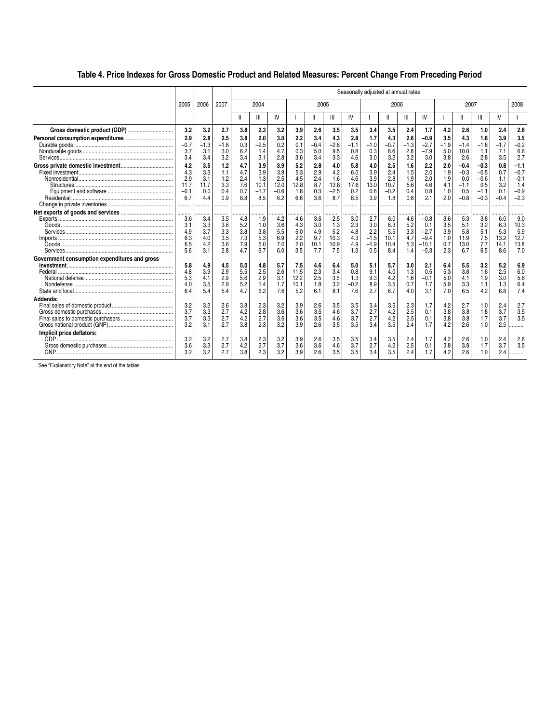## **Table 4. Price Indexes for Gross Domestic Product and Related Measures: Percent Change From Preceding Period**

|                                               |                                                |                                              | Seasonally adjusted at annual rates    |                                        |                                            |                                            |                                         |                                         |                                            |                                         |                                              |                                            |                                        |                                                        |                                        |                                                    |                                                       |                                           |                                                       |
|-----------------------------------------------|------------------------------------------------|----------------------------------------------|----------------------------------------|----------------------------------------|--------------------------------------------|--------------------------------------------|-----------------------------------------|-----------------------------------------|--------------------------------------------|-----------------------------------------|----------------------------------------------|--------------------------------------------|----------------------------------------|--------------------------------------------------------|----------------------------------------|----------------------------------------------------|-------------------------------------------------------|-------------------------------------------|-------------------------------------------------------|
|                                               | 2005                                           | 2006                                         | 2007                                   |                                        | 2004                                       |                                            |                                         | 2005                                    |                                            |                                         |                                              | 2006                                       |                                        |                                                        |                                        | 2007                                               |                                                       |                                           | 2008                                                  |
|                                               |                                                |                                              |                                        | Ш                                      | Ш                                          | IV                                         |                                         | Ш                                       | Ш                                          | IV                                      |                                              | Ш                                          | Ш                                      | IV                                                     |                                        | Ш                                                  | Ш                                                     | IV                                        |                                                       |
| Gross domestic product (GDP)                  | 3.2                                            | 3.2                                          | 2.7                                    | 3.8                                    | 2.3                                        | 3.2                                        | 3.9                                     | 2.6                                     | 3.5                                        | 3.5                                     | 3.4                                          | 3.5                                        | 2.4                                    | 1.7                                                    | 4.2                                    | 2.6                                                | 1.0                                                   | 2.4                                       | 2.6                                                   |
|                                               | 2.9<br>$-0.7$<br>3.7<br>3.4                    | 2.8<br>$-1.3$<br>3.1<br>3.4                  | 2.5<br>$-1.8$<br>3.0<br>3.2            | 3.8<br>0.3<br>6.2<br>3.4               | 2.0<br>$-2.5$<br>1.4<br>3.1                | 3.0<br>0.2<br>4.7<br>2.8                   | 2.2<br>0.1<br>0.3<br>3.6                | 3.4<br>$-0.4$<br>5.0<br>3.4             | 4.3<br>$-2.8$<br>9.5<br>3.3                | 2.8<br>$-1.1$<br>0.8<br>4.6             | 1.7<br>$-1.0$<br>0.3<br>3.0                  | 4.3<br>$-0.7$<br>8.6<br>3.2                | 2.6<br>$-1.3$<br>2.8<br>3.2            | $-0.9$<br>$-2.7$<br>$-7.9$<br>3.0                      | 3.5<br>$-1.9$<br>5.0<br>3.8            | 4.3<br>$-1.4$<br>10.0<br>2.6                       | 1.8<br>$-1.8$<br>1.1<br>2.8                           | 3.9<br>$-1.7$<br>7.1<br>3.5               | 3.5<br>$-0.2$<br>6.6<br>2.7                           |
|                                               | 4.2<br>4.3<br>2.9<br>11.7<br>$-0.1$<br>6.7<br> | 3.5<br>3.5<br>3.1<br>11.7<br>0.0<br>4.4<br>. | 1.2<br>1.1<br>1.2<br>3.3<br>0.4<br>0.9 | 4.7<br>4.7<br>2.4<br>7.6<br>0.7<br>8.8 | 3.9<br>3.9<br>1.3<br>10.1<br>$-1.7$<br>8.5 | 3.9<br>3.9<br>2.5<br>12.0<br>$-0.6$<br>6.2 | 5.2<br>5.3<br>4.5<br>12.8<br>1.8<br>6.6 | 2.8<br>2.9<br>2.4<br>8.7<br>0.3<br>3.6  | 4.0<br>4.2<br>1.6<br>13.8<br>$-2.5$<br>8.7 | 5.8<br>6.0<br>4.6<br>17.6<br>0.2<br>8.5 | 4.0<br>3.9<br>3.9<br>13.0<br>0.6<br>3.9      | 2.5<br>2.4<br>2.8<br>10.7<br>$-0.2$<br>1.8 | 1.6<br>1.5<br>1.9<br>5.6<br>0.4<br>0.8 | 2.2<br>2.0<br>2.0<br>4.6<br>0.8<br>2.1                 | 2.0<br>1.9<br>1.9<br>4.1<br>1.0<br>2.0 | $-0.4$<br>$-0.3$<br>0.0<br>$-1.1$<br>0.5<br>$-0.8$ | $-0.3$<br>$-0.5$<br>$-0.6$<br>0.5<br>$-1.1$<br>$-0.3$ | 0.8<br>0.7<br>1.1<br>3.2<br>0.1<br>$-0.4$ | $-1.1$<br>$-0.7$<br>$-0.1$<br>1.4<br>$-0.9$<br>$-2.3$ |
|                                               | .<br>3.6<br>3.1<br>4.9<br>6.3<br>6.5<br>5.6    | .<br>3.4<br>3.3<br>3.7<br>4.0<br>4.2<br>3.1  | 3.5<br>3.6<br>3.3<br>3.5<br>3.6<br>2.8 | 4.8<br>5.2<br>3.8<br>7.3<br>7.9<br>4.7 | 1.9<br>1.0<br>3.8<br>5.3<br>5.0<br>6.7     | 4.2<br>3.6<br>5.5<br>6.9<br>7.0<br>6.0     | 4.6<br>4.3<br>5.0<br>2.2<br>2.0<br>3.5  | 3.6<br>3.0<br>4.9<br>9.7<br>10.1<br>7.7 | 2.5<br>1.3<br>5.2<br>10.3<br>10.9<br>7.5   | 3.0<br>2.3<br>4.8<br>4.3<br>4.9<br>1.3  | 2.7<br>3.0<br>2.2<br>$-1.5$<br>$-1.9$<br>0.5 | 6.0<br>6.3<br>5.5<br>10.1<br>10.4<br>8.4   | 4.6<br>5.2<br>3.3<br>4.7<br>5.3<br>1.4 | $-0.8$<br>0.1<br>$-2.7$<br>$-9.4$<br>$-10.1$<br>$-5.3$ | 3.6<br>3.5<br>3.9<br>1.0<br>0.7<br>2.3 | 5.3<br>5.1<br>5.8<br>11.9<br>13.0<br>6.7           | 3.8<br>3.2<br>5.1<br>7.5<br>7.7<br>6.5                | 6.0<br>6.3<br>5.3<br>13.2<br>14.1<br>8.6  | 9.0<br>10.3<br>5.9<br>12.7<br>13.8<br>7.0             |
| Government consumption expenditures and gross | 5.8<br>4.8<br>5.3<br>4.0<br>6.4                | 4.9<br>3.9<br>4.1<br>3.5<br>5.4              | 4.5<br>2.9<br>2.9<br>2.9<br>5.4        | 5.0<br>5.5<br>5.6<br>5.2<br>4.7        | 4.8<br>2.5<br>2.9<br>1.4<br>6.2            | 5.7<br>2.6<br>3.1<br>1.7<br>7.6            | 7.5<br>11.5<br>12.2<br>10.1<br>5.2      | 4.6<br>2.3<br>2.5<br>1.8<br>6.1         | 6.4<br>3.4<br>3.5<br>3.2<br>8.1            | 5.0<br>0.8<br>1.3<br>$-0.2$<br>7.6      | 5.1<br>9.1<br>9.3<br>8.9<br>2.7              | 5.7<br>4.0<br>4.2<br>3.5<br>6.7            | 3.0<br>1.3<br>1.6<br>0.7<br>4.0        | 2.1<br>0.5<br>$-0.1$<br>1.7<br>3.1                     | 6.4<br>5.3<br>5.0<br>5.9<br>7.0        | 5.5<br>3.8<br>4.1<br>3.3<br>6.5                    | 3.2<br>1.6<br>1.9<br>1.1<br>4.2                       | 5.2<br>2.5<br>3.0<br>1.3<br>6.8           | 6.9<br>6.0<br>5.8<br>6.4<br>7.4                       |
| Addenda:                                      | 3.2<br>3.7<br>3.7<br>3.2                       | 3.2<br>3.3<br>3.3<br>3.1                     | 2.6<br>2.7<br>2.7<br>2.7               | 3.8<br>4.2<br>4.2<br>3.8               | 2.3<br>2.8<br>2.7<br>2.3                   | 3.2<br>3.6<br>3.6<br>3.2                   | 3.9<br>3.6<br>3.6<br>3.9                | 2.6<br>3.5<br>3.5<br>2.6                | 3.5<br>4.6<br>4.6<br>3.5                   | 3.5<br>3.7<br>3.7<br>3.5                | 3.4<br>2.7<br>2.7<br>3.4                     | 3.5<br>4.2<br>4.2<br>3.5                   | 2.3<br>2.5<br>2.5<br>2.4               | 1.7<br>0.1<br>0.1<br>1.7                               | 4.2<br>3.8<br>3.8<br>4.2               | 2.7<br>3.8<br>3.8<br>2.6                           | 1.0<br>1.8<br>1.7<br>1.0                              | 2.4<br>3.7<br>3.7<br>2.5                  | 2.7<br>3.5<br>3.5                                     |
| Implicit price deflators:                     | 3.2<br>3.6<br>3.2                              | 3.2<br>3.3<br>3.2                            | 2.7<br>2.7<br>2.7                      | 3.8<br>4.2<br>3.8                      | 2.3<br>2.7<br>2.3                          | 3.2<br>3.7<br>3.2                          | 3.9<br>3.6<br>3.9                       | 2.6<br>3.6<br>2.6                       | 3.5<br>4.6<br>3.5                          | 3.5<br>3.7<br>3.5                       | 3.4<br>2.7<br>3.4                            | 3.5<br>4.2<br>3.5                          | 2.4<br>2.5<br>2.4                      | 1.7<br>0.1<br>1.7                                      | 4.2<br>3.8<br>4.2                      | 2.6<br>3.8<br>2.6                                  | 1.0<br>1.7<br>1.0                                     | 2.4<br>3.7<br>2.4                         | $\frac{2.6}{3.5}$<br>.                                |

See "Explanatory Note" at the end of the tables.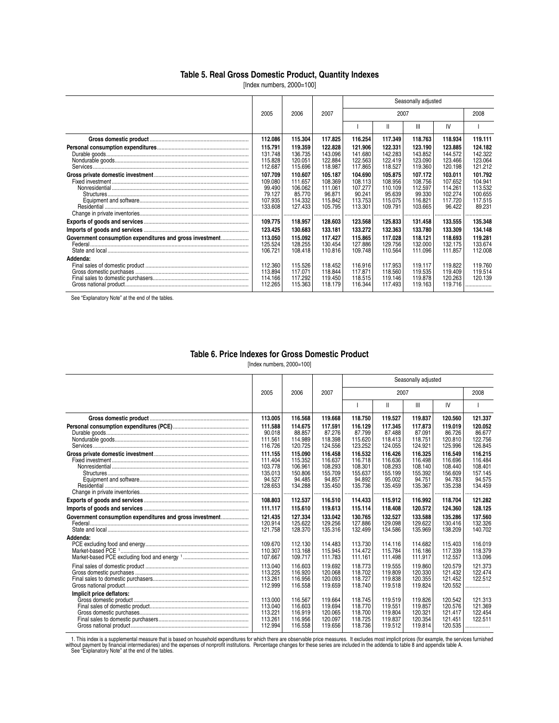### **Table 5. Real Gross Domestic Product, Quantity Indexes**

[Index numbers, 2000=100]

|                                                          |                                                              | Seasonally adjusted                                               |                                                               |                                                                    |                                                               |                                                               |                                                               |                                                               |  |  |
|----------------------------------------------------------|--------------------------------------------------------------|-------------------------------------------------------------------|---------------------------------------------------------------|--------------------------------------------------------------------|---------------------------------------------------------------|---------------------------------------------------------------|---------------------------------------------------------------|---------------------------------------------------------------|--|--|
|                                                          | 2005                                                         | 2006                                                              | 2007                                                          |                                                                    | 2007                                                          |                                                               |                                                               | 2008                                                          |  |  |
|                                                          |                                                              |                                                                   |                                                               |                                                                    | Ш                                                             | $\mathbf{III}$                                                | IV                                                            |                                                               |  |  |
|                                                          | 112.086                                                      | 115,304                                                           | 117.825                                                       | 116.254                                                            | 117.349                                                       | 118.763                                                       | 118.934                                                       | 119.111                                                       |  |  |
|                                                          | 115.791<br>131.748<br>115.828<br>112.687                     | 119,359<br>136.735<br>120.051<br>115.696                          | 122.828<br>143.096<br>122.884<br>118.987                      | 121.906<br>141.680<br>122.563<br>117.865                           | 122.331<br>142.283<br>122.419<br>118.527                      | 123.190<br>143.852<br>123.090<br>119.360                      | 123,885<br>144.572<br>123.466<br>120.198                      | 124.182<br>142.322<br>123.064<br>121.212                      |  |  |
|                                                          | 107.709<br>109.080<br>99.490<br>79.127<br>107.935<br>133.608 | 110.607<br>111.657<br>106.062<br>85.770<br>114.332<br>127.433<br> | 105.187<br>108.369<br>111.061<br>96.871<br>115.842<br>105.795 | 104.690<br>108.113<br>107.277<br>90.241<br>113.753<br>113.301<br>. | 105.875<br>108.956<br>110.109<br>95.639<br>115.075<br>109.791 | 107.172<br>108.756<br>112.597<br>99.330<br>116.821<br>103.665 | 103.011<br>107.652<br>114.261<br>102.274<br>117.720<br>96.422 | 101.792<br>104.941<br>113.532<br>100.655<br>117.515<br>89.231 |  |  |
|                                                          | 109.775                                                      | 118.957                                                           | 128.603                                                       | 123.568                                                            | 125.833                                                       | 131.458                                                       | 133.555                                                       | 135,348                                                       |  |  |
|                                                          | 123.425                                                      | 130.683                                                           | 133.181                                                       | 133.272                                                            | 132.363                                                       | 133.780                                                       | 133,309                                                       | 134.148                                                       |  |  |
| Government consumption expenditures and gross investment | 113.050<br>125.524<br>106.721                                | 115.092<br>128.255<br>108.418                                     | 117.427<br>130.454<br>110.816                                 | 115,865<br>127.886<br>109.748                                      | 117.028<br>129.756<br>110.564                                 | 118.121<br>132.000<br>111.096                                 | 118.693<br>132.175<br>111.857                                 | 119.281<br>133.674<br>112.008                                 |  |  |
| Addenda:                                                 | 112.360<br>113.894<br>114.166<br>112.265                     | 115.526<br>117.071<br>117.292<br>115.363                          | 118.452<br>118.844<br>119.450<br>118.179                      | 116.916<br>117.871<br>118.515<br>116.344                           | 117.953<br>118.560<br>119.146<br>117.493                      | 119.117<br>119.535<br>119.878<br>119.163                      | 119.822<br>119.409<br>120.263<br>119.716                      | 119.760<br>119.514<br>120.139                                 |  |  |

See "Explanatory Note" at the end of the tables.

#### **Table 6. Price Indexes for Gross Domestic Product**

[Index numbers, 2000=100]

|                                                          |                                                               |                                                               |                                                               |                                                               | Seasonally adjusted                                           |                                                                   |                                                               |                                                               |
|----------------------------------------------------------|---------------------------------------------------------------|---------------------------------------------------------------|---------------------------------------------------------------|---------------------------------------------------------------|---------------------------------------------------------------|-------------------------------------------------------------------|---------------------------------------------------------------|---------------------------------------------------------------|
|                                                          | 2005                                                          | 2006                                                          | 2007                                                          |                                                               | 2007                                                          |                                                                   |                                                               | 2008                                                          |
|                                                          |                                                               |                                                               |                                                               |                                                               | $\mathsf{II}$                                                 | Ш                                                                 | IV                                                            |                                                               |
|                                                          | 113.005                                                       | 116.568                                                       | 119.668                                                       | 118,750                                                       | 119.527                                                       | 119.837                                                           | 120.560                                                       | 121.337                                                       |
|                                                          | 111.588<br>90.018<br>111.561<br>116.726                       | 114.675<br>88.857<br>114.989<br>120.725                       | 117.591<br>87.276<br>118.398<br>124.556                       | 116.129<br>87.799<br>115.620<br>123.252                       | 117.345<br>87.488<br>118.413<br>124.055                       | 117.873<br>87.091<br>118.751<br>124.921                           | 119.019<br>86.726<br>120.810<br>125.996                       | 120.052<br>86.677<br>122.756<br>126.845                       |
|                                                          | 111.155<br>111.404<br>103.778<br>135.013<br>94.527<br>128.653 | 115.090<br>115.352<br>106.961<br>150.806<br>94.485<br>134.288 | 116.458<br>116.637<br>108.293<br>155.709<br>94.857<br>135.450 | 116.532<br>116.718<br>108.301<br>155.637<br>94.892<br>135.736 | 116.426<br>116.636<br>108.293<br>155.199<br>95.002<br>135.459 | 116.325<br>116.498<br>108.140<br>155.392<br>94.751<br>135.367<br> | 116.549<br>116.696<br>108.440<br>156.609<br>94.783<br>135.238 | 116.215<br>116.484<br>108.401<br>157.145<br>94.575<br>134.459 |
|                                                          | 108.803                                                       | 112.537                                                       | 116.510                                                       | 114.433                                                       | 115.912                                                       | 116.992                                                           | 118.704                                                       | 121.282                                                       |
|                                                          | 111.117                                                       | 115.610                                                       | 119.613                                                       | 115.114                                                       | 118,408                                                       | 120.572                                                           | 124.360                                                       | 128.125                                                       |
| Government consumption expenditures and gross investment | 121.435<br>120.914<br>121.758                                 | 127.334<br>125.622<br>128.370                                 | 133.042<br>129.256<br>135.316                                 | 130.765<br>127.886<br>132.499                                 | 132.527<br>129.098<br>134.586                                 | 133.588<br>129.622<br>135.969                                     | 135.286<br>130.416<br>138.209                                 | 137.560<br>132.326<br>140.702                                 |
| Addenda:                                                 | 109.670<br>110.307<br>107.667                                 | 112.130<br>113.168<br>109.717                                 | 114.483<br>115.945<br>111.783                                 | 113.730<br>114.472<br>111.161                                 | 114.116<br>115.784<br>111.498                                 | 114.682<br>116.186<br>111.917                                     | 115.403<br>117.339<br>112.557                                 | 116.019<br>118.379<br>113.096                                 |
|                                                          | 113.040<br>113.225<br>113.261<br>112.999                      | 116.603<br>116.920<br>116.956<br>116.558                      | 119.692<br>120.068<br>120.093<br>119.659                      | 118.773<br>118.702<br>118.727<br>118.740                      | 119.555<br>119.809<br>119.838<br>119.518                      | 119.860<br>120.330<br>120.355<br>119.824                          | 120.579<br>121.432<br>121.452<br>120.552                      | 121.373<br>122.474<br>122.512                                 |
| Implicit price deflators:                                | 113.000<br>113.040<br>113.221<br>113.261<br>112.994           | 116.567<br>116.603<br>116.919<br>116.956<br>116.558           | 119.664<br>119.694<br>120.065<br>120.097<br>119.656           | 118.745<br>118.770<br>118.700<br>118.725<br>118.736           | 119.519<br>119.551<br>119.804<br>119.837<br>119.512           | 119.826<br>119.857<br>120.321<br>120.354<br>119.814               | 120.542<br>120.576<br>121.417<br>121.451<br>120.535           | 121.313<br>121.369<br>122.454<br>122.511<br>.                 |

1. This index is a supplemental measure that is based on household expenditures for which there are observable price measures. It excludes most implicit prices (for example, the services furnished<br>without payment by financ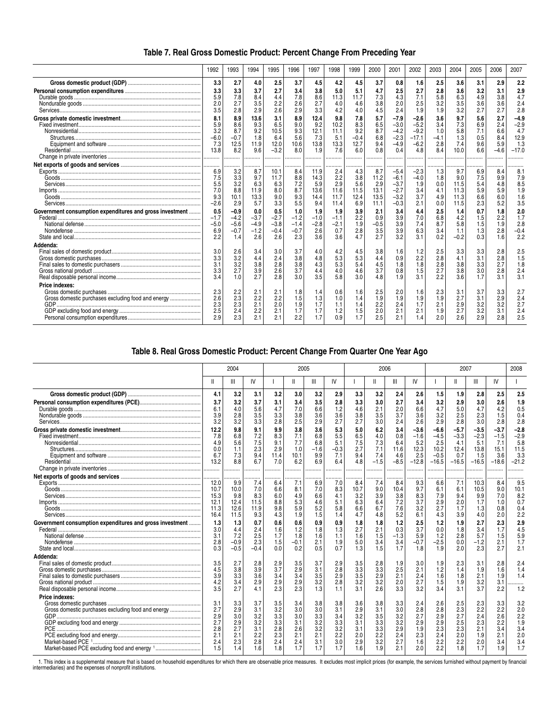| Table 7. Real Gross Domestic Product: Percent Change From Preceding Year |  |  |
|--------------------------------------------------------------------------|--|--|
|--------------------------------------------------------------------------|--|--|

|                                                                             | 1992                                           | 1993                                            | 1994                                          | 1995                                        | 1996                                     | 1997                                       | 1998                                      | 1999                                       | 2000                                       | 2001                                                     | 2002                                                   | 2003                                      | 2004                                       | 2005                                   | 2006                                      | 2007                                              |
|-----------------------------------------------------------------------------|------------------------------------------------|-------------------------------------------------|-----------------------------------------------|---------------------------------------------|------------------------------------------|--------------------------------------------|-------------------------------------------|--------------------------------------------|--------------------------------------------|----------------------------------------------------------|--------------------------------------------------------|-------------------------------------------|--------------------------------------------|----------------------------------------|-------------------------------------------|---------------------------------------------------|
|                                                                             | 3.3                                            | 2.7                                             | 4.0                                           | 2.5                                         | 3.7                                      | 4.5                                        | 4.2                                       | 4.5                                        | 3.7                                        | 0.8                                                      | 1.6                                                    | 2.5                                       | 3.6                                        | 3.1                                    | 2.9                                       | 2.2                                               |
|                                                                             | 3.3<br>5.9<br>2.0<br>3.5                       | 3.3<br>7.8<br>2.7<br>2.8                        | 3.7<br>8.4<br>3.5<br>2.9                      | 2.7<br>4.4<br>2.2<br>2.6                    | 3.4<br>7.8<br>2.6<br>2.9                 | 3.8<br>8.6<br>2.7<br>3.3                   | 5.0<br>11.3<br>4.0<br>4.2                 | 5.1<br>11.7<br>4.6<br>4.0                  | 4.7<br>7.3<br>3.8<br>4.5                   | 2.5<br>4.3<br>2.0<br>2.4                                 | 2.7<br>7.1<br>2.5<br>1.9                               | 2.8<br>5.8<br>3.2<br>1.9                  | 3.6<br>6.3<br>3.5<br>3.2                   | 3.2<br>4.9<br>3.6<br>2.7               | 3.1<br>3.8<br>3.6<br>2.7                  | 2.9<br>4.7<br>2.4<br>2.8                          |
|                                                                             | 8.1<br>5.9<br>3.2<br>$-6.0$<br>7.3<br>13.8<br> | 8.9<br>8.6<br>8.7<br>$-0.7$<br>12.5<br>8.2<br>. | 13.6<br>9.3<br>9.2<br>1.8<br>11.9<br>9.6<br>. | 3.1<br>6.5<br>10.5<br>6.4<br>12.0<br>$-3.2$ | 8.9<br>9.0<br>9.3<br>5.6<br>10.6<br>8.0  | 12.4<br>9.2<br>12.1<br>7.3<br>13.8<br>1.9  | 9.8<br>10.2<br>11.1<br>5.1<br>13.3<br>7.6 | 7.8<br>8.3<br>9.2<br>$-0.4$<br>12.7<br>6.0 | 5.7<br>6.5<br>8.7<br>6.8<br>9.4<br>0.8     | $-7.9$<br>$-3.0$<br>$-4.2$<br>$-2.3$<br>$-4.9$<br>0.4    | $-2.6$<br>$-5.2$<br>$-9.2$<br>$-17.1$<br>$-6.2$<br>4.8 | 3.6<br>3.4<br>1.0<br>$-4.1$<br>2.8<br>8.4 | 9.7<br>7.3<br>5.8<br>1.3<br>7.4<br>10.0    | 5.6<br>6.9<br>7:<br>0.5<br>9.6<br>6.6  | 2.7<br>2.4<br>6.6<br>8.4<br>5.9<br>$-4.6$ | $-4.9$<br>$-2.9$<br>4.7<br>12.9<br>1.3<br>$-17.0$ |
|                                                                             | 6.9<br>7.5<br>5.5<br>7.0<br>9.3<br>$-2.6$      | 3.2<br>3.3<br>3.2<br>8.8<br>10.1<br>2.9         | .<br>8.7<br>9.7<br>6.3<br>11.9<br>13.3<br>5.7 | 10.1<br>11.7<br>6.3<br>8.0<br>9.0<br>3.3    | 8.4<br>8.8<br>7.2<br>8.7<br>9.3<br>5.5   | 11.9<br>14.3<br>5.9<br>13.6<br>14.4<br>9.4 | 2.4<br>2.2<br>2.9<br>11.6<br>11.7<br>11.4 | 4.3<br>3.8<br>5.6<br>11.5<br>12.4<br>6.9   | 8.7<br>11.2<br>2.9<br>13.1<br>13.5<br>11.1 | $-5.4$<br>$-6.1$<br>$-3.7$<br>$-2.7$<br>$-3.2$<br>$-0.3$ | $-2.3$<br>$-4.0$<br>1.9<br>3.4<br>3.7<br>2.1           | 1.3<br>1.8<br>0.0<br>4.1<br>4.9<br>0.0    | 9.7<br>9.0<br>11.5<br>11.3<br>11.3<br>11.5 | 6.9<br>7.5<br>5.4<br>5.9<br>6.6<br>2.3 | 8.4<br>9.9<br>4.8<br>5.9<br>6.0<br>5.2    | 8.1<br>7.9<br>8.5<br>1.9<br>1.6<br>3.5            |
| Government consumption expenditures and gross investment                    | 0.5<br>$-1.7$<br>$-5.0$<br>6.9<br>2.2          | $-0.9$<br>$-4.2$<br>$-5.6$<br>$-0.7$<br>1.4     | 0.0<br>$-3.7$<br>$-4.9$<br>$-1.2$<br>2.6      | 0.5<br>$-2.7$<br>$-3.8$<br>$-0.4$<br>2.6    | 1.0<br>$-1.2$<br>$-1.4$<br>$-0.7$<br>2.3 | 1.9<br>$-1.0$<br>$-2.8$<br>2.6<br>3.6      | 1.9<br>$-1.1$<br>$-2.1$<br>0.7<br>3.6     | 3.9<br>2.2<br>1.9<br>2.8<br>4.7            | 2.1<br>0.9<br>$-0.5$<br>3.5<br>2.7         | 3.4<br>3.9<br>3.9<br>3.9<br>3.2                          | 4.4<br>7.0<br>7.4<br>6.3<br>3.1                        | 2.5<br>6.8<br>8.7<br>3.4<br>0.2           | 1.4<br>4.2<br>5.8<br>1.1<br>$-0.2$         | 0.7<br>1.5<br>1.5<br>1.3<br>0.3        | 1.8<br>2.2<br>1.9<br>2.8<br>1.6           | 2.0<br>1.7<br>2.8<br>$-0.4$<br>2.2                |
| Addenda:                                                                    | 3.0<br>3.3<br>3.1<br>3.3<br>3.4                | 2.6<br>3.2<br>3.2<br>2.7<br>1.0                 | 3.4<br>4.4<br>3.8<br>3.9<br>2.7               | 3.0<br>2.4<br>2.8<br>2.6<br>2.8             | 3.7<br>3.8<br>3.8<br>3.7<br>3.0          | 4.0<br>4.8<br>4.3<br>4.4<br>3.5            | 4.2<br>5.3<br>5.3<br>4.0<br>5.8           | 4.5<br>5.3<br>5.4<br>4.6<br>3.0            | 3.8<br>4.4<br>4.5<br>3.7<br>4.8            | 1.6<br>0.9<br>1.8<br>0.8<br>1.9                          | 1.2<br>2.2<br>1.8<br>1.5<br>3.1                        | 2.5<br>2.8<br>2.8<br>2.7<br>22            | 3.3<br>4.1<br>3.8<br>3.8<br>3.6            | 3.3<br>3.1<br>3.3<br>3.0<br>17         | 2.8<br>2.8<br>2.7<br>2.8<br>31            | 2.5<br>1.5<br>1.8<br>2.4<br>3.1                   |
| <b>Price indexes:</b><br>Gross domestic purchases excluding food and energy | 2.3<br>2.6<br>2.3<br>2.5<br>2.9                | 2.2<br>2.3<br>2.3<br>2.4<br>2.3                 | 2.1<br>2.2<br>2.1<br>2.2<br>2.1               | 2.1<br>2.2<br>2.0<br>2.1<br>2.1             | 1.8<br>1.5<br>1.9<br>1.7<br>2.2          | 1.4<br>1.3<br>1.7<br>1.7<br>1.7            | 0.6<br>1.0<br>1.1<br>1.2<br>0.9           | 1.6<br>1.4<br>1.4<br>1.5<br>1.7            | 2.5<br>1.9<br>2.2<br>2.0<br>2.5            | 2.0<br>1.9<br>2.4<br>2.1<br>2.1                          | 1.6<br>1.9<br>1.7<br>2.1<br>1.4                        | 2.3<br>1.9<br>2.1<br>1.9<br>2.0           | 3.1<br>2.7<br>2.9<br>2.7<br>26             | 3.7<br>3.1<br>3.2<br>3.2<br>2.9        | 3.3<br>2.9<br>3.2<br>3.1<br>2.8           | 2.7<br>2.4<br>2.7<br>2.4<br>2.5                   |

## **Table 8. Real Gross Domestic Product: Percent Change From Quarter One Year Ago**

|                                                                             |                                                      | 2004                                                 |                                                      |                                                      | 2005                                                 |                                                      |                                                      |                                                      | 2006                                                 |                                                      |                                                      |                                                      | 2008                                                 |                                                      |                                                      |                                                      |
|-----------------------------------------------------------------------------|------------------------------------------------------|------------------------------------------------------|------------------------------------------------------|------------------------------------------------------|------------------------------------------------------|------------------------------------------------------|------------------------------------------------------|------------------------------------------------------|------------------------------------------------------|------------------------------------------------------|------------------------------------------------------|------------------------------------------------------|------------------------------------------------------|------------------------------------------------------|------------------------------------------------------|------------------------------------------------------|
|                                                                             |                                                      | Ш                                                    | IV                                                   |                                                      |                                                      | Ш                                                    | IV                                                   |                                                      |                                                      | Ш                                                    | IV                                                   |                                                      |                                                      | Ш                                                    | IV                                                   |                                                      |
|                                                                             | 4.1                                                  | 3.2                                                  | 3.1                                                  | 3.2                                                  | 3.0                                                  | 3.2                                                  | 2.9                                                  | 3.3                                                  | 3.2                                                  | 2.4                                                  | 2.6                                                  | 1.5                                                  | 1.9                                                  | 2.8                                                  | 2.5                                                  | 2.5                                                  |
|                                                                             | 3.7<br>6.1<br>3.9<br>3.2                             | 3.2<br>4.0<br>2.8<br>3.2                             | 3.7<br>5.6<br>3.5<br>3.3                             | 3.1<br>4.7<br>3.3<br>2.8                             | 3.4<br>7.0<br>3.8<br>2.5                             | 3.5<br>6.6<br>3.6<br>2.9                             | 2.8<br>1.2<br>3.6<br>2.7                             | 3.3<br>4.6<br>3.8<br>2.7                             | 3.0<br>2.1<br>3.5<br>3.0                             | 2.7<br>2.0<br>3.7<br>2.4                             | 3.4<br>6.6<br>3.6<br>2.6                             | 3.2<br>4.7<br>3.2<br>2.9                             | 2.9<br>5.0<br>2.5<br>2.8                             | 3.0<br>4.7<br>2.3<br>3.0                             | 2.6<br>4.2<br>1.5<br>2.8                             | 1.9<br>0.5<br>0.4<br>2.8                             |
|                                                                             | 12.2<br>7.8<br>4.9<br>0.0<br>6.7<br>13.2             | 9.8<br>6.8<br>5.6<br>1.1<br>7.3<br>8.8               | 9.1<br>7.2<br>7.5<br>2.3<br>9.4                      | 9.9<br>8.3<br>9.1<br>2.9<br>11.4<br>7.0              | 3.8<br>7.1<br>7.7<br>1.0<br>10.1<br>6.2              | 3.6<br>6.8<br>6.8<br>$-1.6$<br>9.9<br>6.9            | 5.3<br>5.5<br>5.1<br>$-0.3$<br>7.1<br>6.4            | 5.0<br>6.5<br>7.5<br>2.7<br>9.4<br>4.8               | 6.2<br>4.0<br>7.3<br>7.1<br>7.4<br>$-1.5$            | 3.4<br>0.8<br>6.4<br>11.6<br>4.6<br>$-8.5$           | $-3.6$<br>$-1.6$<br>5.2<br>12.3<br>2.5<br>$-12.8$    | $-6.6$<br>$-4.5$<br>2.5<br>10.2<br>$-0.5$<br>$-16.5$ | $-5.7$<br>$-3.3$<br>4.1<br>12.4<br>0.7<br>$-16.5$    | $-3.5$<br>$-2.3$<br>5.1<br>13.8<br>1.5<br>$-16.5$    | $-3.7$<br>$-1.5$<br>7.1<br>15.1<br>3.6<br>$-18.6$    | $-2.8$<br>$-2.9$<br>5.8<br>11.5<br>3.3<br>$-21.2$    |
|                                                                             | 12.0<br>10.7<br>15.3<br>12.1<br>11.3<br>16.4         | 9.9<br>10.0<br>9.8<br>12.4<br>12.6<br>11.5           | 7.4<br>7.0<br>8.3<br>11.5<br>11.9<br>9.3             | 6.4<br>6.6<br>6.0<br>8.8<br>9.8<br>4.3               | 7.1<br>8.1<br>4.9<br>5.3<br>5.9<br>1.9               | 6.9<br>7.0<br>6.6<br>4.6<br>5.2<br>1.5               | 7.0<br>8.3<br>4.1<br>5.1<br>5.8<br>1.4               | 8.4<br>10.7<br>3.2<br>6.3<br>6.6<br>4.7              | .<br>7.4<br>9.0<br>3.9<br>6.4<br>6.7<br>4.8          | <br>8.4<br>10.4<br>3.8<br>7.2<br>7.6<br>5.2          | 9.3<br>9.7<br>8.3<br>3.7<br>3.2<br>6.1               | 6.6<br>6.1<br>7.9<br>2.9<br>2.7<br>4.3               | 7.1<br>6.1<br>9.4<br>2.0<br>1.7<br>3.9               | 10.3<br>10.5<br>9.9<br>1.7<br>1.3<br>4.0             | 8.4<br>9.0<br>7.0<br>1.0<br>0.8<br>2.0               | 9.5<br>10.1<br>8.2<br>0.7<br>0.4<br>2.2              |
| Government consumption expenditures and gross investment                    | 1.3<br>3.0<br>3.1<br>2.8<br>0.3                      | 1.3<br>4.4<br>7.2<br>$-0.9$<br>$-0.5$                | 0.7<br>2.4<br>2.5<br>2.3<br>$-0.4$                   | 0.6<br>1.6<br>1.7<br>1.5<br>0.0                      | 0.6<br>1.2<br>1.8<br>$-0.1$<br>0.2                   | 0.9<br>1.8<br>1.6<br>2.1<br>0.5                      | 0.9<br>1.3<br>1.1<br>1.9<br>0.7                      | 1.8<br>2.7<br>1.6<br>5.0<br>1.3                      | 1.8<br>2.1<br>1.5<br>3.4<br>1.5                      | 1.2<br>0.3<br>$-1.3$<br>3.4<br>1.7                   | 2.5<br>3.7<br>5.9<br>$-0.7$<br>1.8                   | 1.2<br>0.0<br>1.2<br>$-2.5$<br>1.9                   | 1.9<br>1.8<br>2.8<br>0.0<br>2.0                      | 2.7<br>3.4<br>5.7<br>$-1.2$<br>2.3                   | 2.3<br>1.7<br>1.5<br>2.1<br>2.7                      | 2.9<br>4.5<br>5.9<br>1.7<br>2.1                      |
| Addenda:                                                                    | 3.5<br>4.5<br>3.9<br>4.2<br>3.5                      | 2.7<br>3.8<br>3.3<br>3.4<br>2.7                      | 2.8<br>3.9<br>3.6<br>2.9<br>4.1                      | 2.9<br>3.7<br>3.4<br>2.9<br>2.3                      | 3.5<br>2.9<br>3.4<br>2.9<br>2.3                      | 3.7<br>3.1<br>3.5<br>3.2<br>1.3                      | 2.9<br>2.8<br>2.9<br>2.8<br>1.1                      | 3.5<br>3.3<br>3.5<br>3.2<br>3.1                      | 2.8<br>3.3<br>2.9<br>3.2<br>2.6                      | 1.9<br>2.5<br>2.1<br>2.0<br>3.3                      | 3.0<br>2.1<br>2.4<br>2.7<br>3.2                      | 1.9<br>1.2<br>1.6<br>1.5<br>3.4                      | 2.3<br>1.4<br>1.8<br>1.9<br>3.1                      | 3.1<br>1.9<br>2.1<br>3.2<br>3.7                      | 2.8<br>1.6<br>1.9<br>3.1<br>2.2                      | 2.4<br>1.4<br>1.4<br>1.2                             |
| Price indexes:<br>Gross domestic purchases excluding food and energy<br>PCE | 3.1<br>2.7<br>2.9<br>2.7<br>2.8<br>2.1<br>2.4<br>1.5 | 3.3<br>2.9<br>3.0<br>2.9<br>2.7<br>2.1<br>2.3<br>1.4 | 3.7<br>3.1<br>3.2<br>3.2<br>3.1<br>2.2<br>2.8<br>1.6 | 3.5<br>3.2<br>3.3<br>3.3<br>2.8<br>2.3<br>2.4<br>1.8 | 3.4<br>3.0<br>3.0<br>3.1<br>2.6<br>2.1<br>2.4<br>1.7 | 3.8<br>3.0<br>3.3<br>3.2<br>3.2<br>2.1<br>3.1<br>1.7 | 3.8<br>3.1<br>3.4<br>3.3<br>3.2<br>2.2<br>3.0<br>1.7 | 3.6<br>2.9<br>3.2<br>3.1<br>3.1<br>2.0<br>2.9<br>1.6 | 3.8<br>3.1<br>3.5<br>3.3<br>3.3<br>2.2<br>3.2<br>1.9 | 3.3<br>3.0<br>3.2<br>3.2<br>2.9<br>2.4<br>2.7<br>2.1 | 2.4<br>2.8<br>2.7<br>2.9<br>1.9<br>2.3<br>1.6<br>2.0 | 2.6<br>2.8<br>2.9<br>2.9<br>2.3<br>2.4<br>2.2<br>2.2 | 2.5<br>2.3<br>2.7<br>2.5<br>2.3<br>2.0<br>2.2<br>1.8 | 2.3<br>2.2<br>2.4<br>2.3<br>2.1<br>1.9<br>2.0<br>1.7 | 3.3<br>2.2<br>2.6<br>2.2<br>3.4<br>2.1<br>3.4<br>1.9 | 3.2<br>2.0<br>2.2<br>1.9<br>3.4<br>2.0<br>3.4<br>1.7 |

1. This index is a supplemental measure that is based on household expenditures for which there are observable price measures. It excludes most implicit prices (for example, the services furnished without payment by financ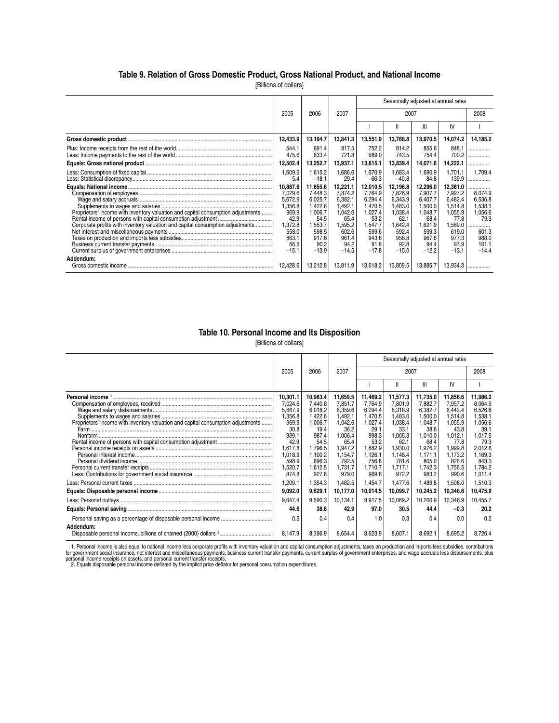### **Table 9. Relation of Gross Domestic Product, Gross National Product, and National Income**

[Billions of dollars]

|                                                                                  |                  |                    |                   |                   | Seasonally adjusted at annual rates |                    |                    |                    |
|----------------------------------------------------------------------------------|------------------|--------------------|-------------------|-------------------|-------------------------------------|--------------------|--------------------|--------------------|
|                                                                                  | 2005             | 2006               | 2007              |                   | 2007                                |                    |                    | 2008               |
|                                                                                  |                  |                    |                   |                   |                                     | Ш                  | IV                 |                    |
|                                                                                  | 12,433.9         | 13,194.7           | 13,841.3          | 13,551.9          | 13,768.8                            | 13,970.5           | 14,074.2           | 14,185.2           |
|                                                                                  | 544.1<br>475.6   | 691.4<br>633.4     | 817.5<br>721.8    | 752.2<br>689.0    | 814.2<br>743.5                      | 855.6<br>754.4     | 848.1<br>700.2     | .<br>.             |
|                                                                                  | 12,502.4         | 13,252.7           | 13,937.1          | 13,615.1          | 13,839.4                            | 14,071.6           | 14,222.1           | .                  |
|                                                                                  | 1,609.5<br>5.4   | 1,615.2<br>$-18.1$ | 1,686.6<br>29.4   | .670.9<br>$-66.3$ | 1,683.4<br>$-40.8$                  | 1,690.9<br>84.8    | 1,701.1<br>139.9   | 1.709.4<br>.       |
|                                                                                  | 10,887.6         | 11,655.6           | 12,221.1          | 12,010.5          | 12,196.8                            | 12,296.0           | 12,381.0           |                    |
|                                                                                  | 7,029.6          | 7,448.3            | 7,874.2           | 7,764.9           | 7,826.9                             | 7,907.7            | 7,997.2            | 8,074.9            |
|                                                                                  | 5,672.9          | 6,025.7            | 6.382.1           | 6.294.4           | 6.343.9                             | 6.407.7            | 6.482.4            | 6,536.8            |
| Proprietors' income with inventory valuation and capital consumption adjustments | 1,356.8<br>969.9 | 1,422.6<br>1,006.7 | 1,492.<br>1,042.6 | ,470.5<br>1,027.4 | 1,483.0<br>1,038.4                  | 1.500.0<br>1.048.7 | 1,514.8<br>1,055.9 | 1,538.1<br>1.056.6 |
|                                                                                  | 42.9             | 54.5               | 65.4              | 53.2              | 62.1                                | 68.4               | 77.8               | 79.3               |
| Corporate profits with inventory valuation and capital consumption adjustments   | 1,372.8          | .553.7             | 1,595.2           | .547.7            | 1,642.4                             | 1,621.9            | .569.0             |                    |
|                                                                                  | 558.0            | 598.5              | 602.6             | 599.6             | 592.4                               | 599.3              | 619.0              | 601.3              |
|                                                                                  | 863.1            | 917.6              | 961.4             | 943.8             | 956.8                               | 967.8              | 977.3              | 988.0              |
|                                                                                  | 66.5             | 90.2               | 94.2              | 91.8              | 92.8                                | 94.4               | 97.9               | 101.1              |
|                                                                                  | $-15.1$          | $-13.9$            | $-14.5$           | $-17.8$           | $-15.0$                             | $-12.2$            | $-13.1$            | $-14.4$            |
| Addendum:                                                                        |                  |                    |                   |                   |                                     |                    |                    |                    |
|                                                                                  | 12.428.6         | 13,212.8           | 13,811.9          | 13,618.2          | 13,809.5                            | 13,885.7           | 13,934.3           |                    |

#### **Table 10. Personal Income and Its Disposition**

[Billions of dollars]

|                                                                                  |                                                                                                                                           |                                                                                                                                             |                                                                                                                                              | Seasonally adjusted at annual rates                                                                                                         |                                                                                                                                               |                                                                                                                                               |                                                                                                                                               |                                                                                                                                                 |
|----------------------------------------------------------------------------------|-------------------------------------------------------------------------------------------------------------------------------------------|---------------------------------------------------------------------------------------------------------------------------------------------|----------------------------------------------------------------------------------------------------------------------------------------------|---------------------------------------------------------------------------------------------------------------------------------------------|-----------------------------------------------------------------------------------------------------------------------------------------------|-----------------------------------------------------------------------------------------------------------------------------------------------|-----------------------------------------------------------------------------------------------------------------------------------------------|-------------------------------------------------------------------------------------------------------------------------------------------------|
|                                                                                  | 2005                                                                                                                                      | 2006                                                                                                                                        | 2007                                                                                                                                         |                                                                                                                                             | 2007                                                                                                                                          |                                                                                                                                               |                                                                                                                                               | 2008                                                                                                                                            |
|                                                                                  |                                                                                                                                           |                                                                                                                                             |                                                                                                                                              |                                                                                                                                             |                                                                                                                                               | Ш                                                                                                                                             | IV                                                                                                                                            |                                                                                                                                                 |
| Proprietors' income with inventory valuation and capital consumption adjustments | 10,301.1<br>7,024.6<br>5,667.9<br>1,356.8<br>969.9<br>30.8<br>939.1<br>42.9<br>1,617.8<br>1,018.9<br>598.9<br>1,520.7<br>874.8<br>1,209.1 | 10,983.4<br>7,440.8<br>6,018.2<br>1,422.6<br>1,006.7<br>19.4<br>987.4<br>54.5<br>1,796.5<br>1.100.2<br>696.3<br>1,612.5<br>927.6<br>1,354.3 | 11,659.5<br>7,851.7<br>6,359.6<br>1,492.1<br>1,042.6<br>36.2<br>,006.4<br>65.4<br>1,947.2<br>1.154.7<br>792.5<br>1,731.7<br>979.0<br>1,482.5 | 11,469.2<br>7,764.9<br>6,294.4<br>1,470.5<br>1,027.4<br>29.1<br>998.3<br>53.2<br>1,882.9<br>1,126.1<br>756.8<br>1,710.7<br>969.8<br>1,454.7 | 11,577.3<br>7.801.9<br>6,318.9<br>1,483.0<br>1,038.4<br>33.1<br>1,005.3<br>62.1<br>1,930.0<br>1.148.4<br>781.6<br>1,717.1<br>972.2<br>1,477.6 | 11,735.0<br>7.882.7<br>6.382.7<br>1,500.0<br>1.048.7<br>38.6<br>1.010.0<br>68.4<br>1,976.2<br>1.171.1<br>805.0<br>1,742.3<br>983.2<br>1,489.8 | 11,856.6<br>7,957.2<br>6.442.4<br>1,514.8<br>1,055.9<br>43.8<br>1,012.1<br>77.8<br>1,999.8<br>1.173.2<br>826.6<br>1,756.5<br>990.6<br>1,508.0 | 11,986.2<br>8,064.9<br>6.526.8<br>1,538.1<br>1,056.6<br>39.1<br>1,017.5<br>79.3<br>2,012.6<br>1.169.3<br>843.3<br>1,784.2<br>1,011.4<br>1,510.3 |
|                                                                                  | 9,092.0                                                                                                                                   | 9,629.1                                                                                                                                     | 10,177.0                                                                                                                                     | 10,014.5                                                                                                                                    | 10,099.7                                                                                                                                      | 10,245.2                                                                                                                                      | 10,348.6                                                                                                                                      | 10,475.9                                                                                                                                        |
|                                                                                  | 9,047.4<br>44.6                                                                                                                           | 9,590.3<br>38.8                                                                                                                             | 10,134.1<br>42.9                                                                                                                             | 9,917.5<br>97.0                                                                                                                             | 10,069.2<br>30.5                                                                                                                              | 10,200.9<br>44.4                                                                                                                              | 10,348.9<br>$-0.3$                                                                                                                            | 10,455.7<br>20.2                                                                                                                                |
| Addendum:                                                                        | 0.5<br>8.147.9                                                                                                                            | 0.4<br>8.396.9                                                                                                                              | 0.4<br>8.654.4                                                                                                                               | 1.0<br>8,623.9                                                                                                                              | 0.3<br>8,607.1                                                                                                                                | 0.4<br>8.692.1                                                                                                                                | 0.0<br>8,695.2                                                                                                                                | 0.2<br>8,726.4                                                                                                                                  |

1. Personal income is also equal to national income less corporate profits with inventory valuation and capital consumption adjustments, taxes on production and imports less subsidies, contributions<br>for government social i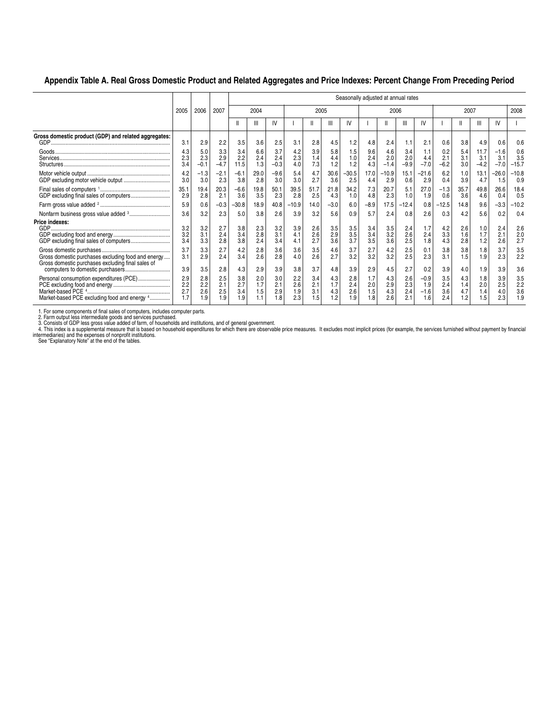### **Appendix Table A. Real Gross Domestic Product and Related Aggregates and Price Indexes: Percent Change From Preceding Period**

|                                                                                                         |                          |                          | Seasonally adjusted at annual rates |                          |                          |                          |                          |                          |                          |                          |                          |                          |                          |                                |                          |                          |                          |                          |                          |
|---------------------------------------------------------------------------------------------------------|--------------------------|--------------------------|-------------------------------------|--------------------------|--------------------------|--------------------------|--------------------------|--------------------------|--------------------------|--------------------------|--------------------------|--------------------------|--------------------------|--------------------------------|--------------------------|--------------------------|--------------------------|--------------------------|--------------------------|
|                                                                                                         | 2005                     | 2006                     | 2007                                | 2004                     |                          |                          | 2005                     |                          |                          |                          | 2006                     |                          |                          |                                | 2007                     |                          |                          |                          | 2008                     |
|                                                                                                         |                          |                          |                                     |                          | Ш                        | IV                       |                          |                          | Ш                        | IV                       |                          |                          | Ш                        | IV                             |                          |                          | ш                        | IV                       |                          |
| Gross domestic product (GDP) and related aggregates:                                                    | 3.1                      | 2.9                      | 2.2                                 | 3.5                      | 3.6                      | 2.5                      | 3.1                      | 2.8                      | 4.5                      | 1.2                      | 4.8                      | 2.4                      | 1.1                      | 2.1                            | 0.6                      | 3.8                      | 4.9                      | 0.6                      | 0.6                      |
|                                                                                                         | 4.3<br>2.3<br>3.4        | 5.0<br>2.3<br>$-0.1$     | 3.3<br>2.9<br>$-4.7$                | 3.4<br>2.2<br>11.5       | 6.6<br>2.4<br>1.3        | 3.7<br>2.4<br>$-0.3$     | 4.2<br>2.3<br>4.0        | 3.9<br>1.4<br>7.3        | 5.8<br>4.4<br>1.2        | 1.5<br>1.0<br>1.2        | 9.6<br>2.4<br>4.3        | 4.6<br>2.0<br>$-1.4$     | 3.4<br>2.0<br>$-9.9$     | 1.1<br>4.4<br>$-7.0$           | 0.2<br>2.1<br>$-6.2$     | 5.4<br>3.1<br>3.0        | 11.7<br>3.1<br>$-4.2$    | $-1.6$<br>3.1<br>$-7.0$  | 0.6<br>3.5<br>$-15.7$    |
|                                                                                                         | 4.2<br>3.0               | $-1.3$<br>3.0            | $-2.1$<br>2.3                       | $-6.1$<br>3.8            | 29.0<br>2.8              | $-9.6$<br>3.0            | 5.4<br>3.0               | 4.7<br>2.7               | 30.6<br>3.6              | $-30.5$<br>2.5           | 17.0<br>4.4              | $-10.9$<br>2.9           | 15.1<br>0.6              | $-21.6$<br>2.9                 | 6.2<br>0.4               | 1.0<br>3.9               | 13.1<br>4.7              | $-26.0$<br>1.5           | $-10.8$<br>0.9           |
| GDP excluding final sales of computers                                                                  | 35.1<br>2.9              | 19.4<br>2.8              | 20.3<br>2.1                         | $-6.6$<br>3.6            | 19.8<br>3.5              | 50.1<br>2.3              | 39.5<br>2.8              | 51.7<br>2.5              | 21.8<br>4.3              | 34.2<br>1.0              | 7.3<br>4.8               | 20.7<br>2.3              | 5.1<br>1.0               | 27.0<br>1.9                    | $-1.3$<br>0.6            | 35.7<br>3.6              | 49.8<br>4.6              | 26.6<br>0.4              | 18.4<br>0.5              |
|                                                                                                         | 5.9                      | 0.6                      | $-0.3$                              | $-30.8$                  | 18.9                     | 40.8                     | $-10.9$                  | 14.0                     | $-3.0$                   | 6.0                      | $-8.9$                   | 17.5                     | $-12.4$                  | 0.8                            | $-12.5$                  | 14.8                     | 9.6                      | $-3.3$                   | $-10.2$                  |
|                                                                                                         | 3.6                      | 3.2                      | 2.3                                 | 5.0                      | 3.8                      | 2.6                      | 3.9                      | 3.2                      | 5.6                      | 0.9                      | 5.7                      | 2.4                      | 0.8                      | 2.6                            | 0.3                      | 4.2                      | 5.6                      | 0.2                      | 0.4                      |
| Price indexes:                                                                                          | 3.2<br>3.2<br>3.4        | 3.2<br>3.1<br>3.3        | 2.7<br>2.4<br>2.8                   | 3.8<br>3.4<br>3.8        | 2.3<br>2.8<br>2.4        | 3.2<br>3.1<br>3.4        | 3.9<br>4.1<br>4.1        | 2.6<br>2.6<br>2.7        | 3.5<br>2.9<br>3.6        | 3.5<br>3.5<br>3.7        | 3.4<br>3.4<br>3.5        | 3.5<br>3.2<br>3.6        | 2.4<br>2.6<br>2.5        | 1.7<br>2.4<br>1.8              | 4.2<br>3.3<br>4.3        | 2.6<br>1.6<br>2.8        | 1.0<br>1.7<br>1.2        | 2.4<br>2.1<br>2.6        | 2.6<br>2.0<br>2.7        |
| Gross domestic purchases excluding food and energy<br>Gross domestic purchases excluding final sales of | 3.7<br>3.1<br>3.9        | 3.3<br>2.9<br>3.5        | 2.7<br>2.4<br>2.8                   | 4.2<br>3.4<br>4.3        | 2.8<br>2.6<br>2.9        | 3.6<br>2.8<br>3.9        | 3.6<br>4.0<br>3.8        | 3.5<br>2.6<br>3.7        | 4.6<br>2.7<br>4.8        | 3.7<br>3.2<br>3.9        | 2.7<br>3.2<br>2.9        | 4.2<br>3.2<br>4.5        | 2.5<br>2.5<br>2.7        | 0.1<br>2.3<br>0.2              | 3.8<br>3.1<br>3.9        | 3.8<br>1.5<br>4.0        | 1.8<br>1.9<br>1.9        | 3.7<br>2.3<br>3.9        | 3.5<br>2.2<br>3.6        |
| Personal consumption expenditures (PCE)<br>Market-based PCE excluding food and energy 4                 | 2.9<br>2.2<br>2.7<br>1.7 | 2.8<br>2.2<br>2.6<br>1.9 | 2.5<br>2.1<br>2.5<br>1.9            | 3.8<br>2.7<br>3.4<br>1.9 | 2.0<br>1.7<br>1.5<br>1.1 | 3.0<br>2.1<br>2.9<br>1.8 | 2.2<br>2.6<br>1.9<br>2.3 | 3.4<br>2.1<br>3.1<br>1.5 | 4.3<br>1.7<br>4.3<br>1.2 | 2.8<br>2.4<br>2.6<br>1.9 | 1.7<br>2.0<br>1.5<br>1.8 | 4.3<br>2.9<br>4.3<br>2.6 | 2.6<br>2.3<br>2.4<br>2.1 | $-0.9$<br>1.9<br>$-1.6$<br>1.6 | 3.5<br>2.4<br>3.6<br>2.4 | 4.3<br>1.4<br>4.7<br>1.2 | 1.8<br>2.0<br>1.4<br>1.5 | 3.9<br>2.5<br>4.0<br>2.3 | 3.5<br>2.2<br>3.6<br>1.9 |

1. For some components of final sales of computers, includes computer parts.<br>2. Farm output less intermediate goods and services purchased.<br>3. Consists of GDP less gross value added of farm, of households and institutions,